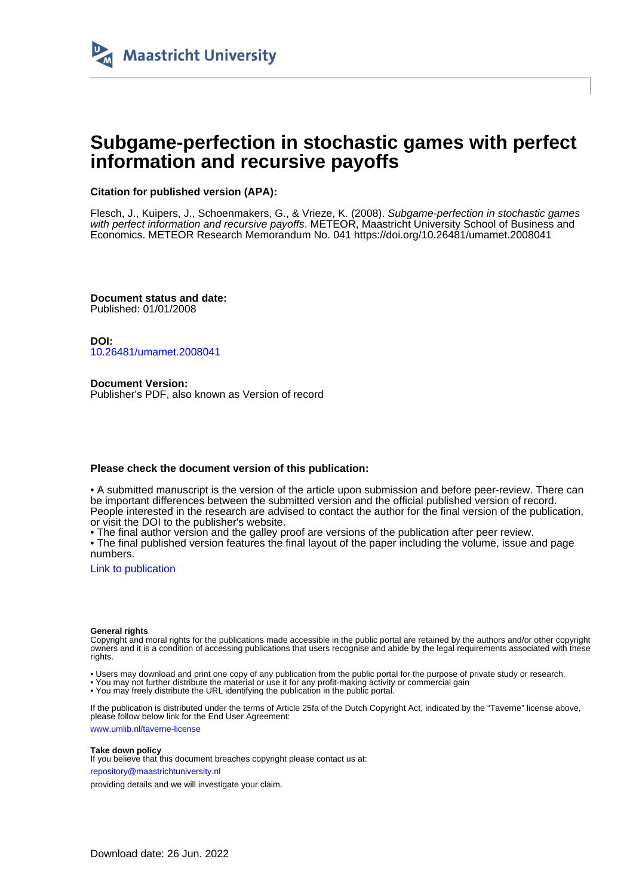

## **Subgame-perfection in stochastic games with perfect information and recursive payoffs**

### **Citation for published version (APA):**

Flesch, J., Kuipers, J., Schoenmakers, G., & Vrieze, K. (2008). Subgame-perfection in stochastic games with perfect information and recursive payoffs. METEOR, Maastricht University School of Business and Economics. METEOR Research Memorandum No. 041 <https://doi.org/10.26481/umamet.2008041>

**Document status and date:** Published: 01/01/2008

**DOI:** [10.26481/umamet.2008041](https://doi.org/10.26481/umamet.2008041)

**Document Version:** Publisher's PDF, also known as Version of record

#### **Please check the document version of this publication:**

• A submitted manuscript is the version of the article upon submission and before peer-review. There can be important differences between the submitted version and the official published version of record. People interested in the research are advised to contact the author for the final version of the publication, or visit the DOI to the publisher's website.

• The final author version and the galley proof are versions of the publication after peer review.

• The final published version features the final layout of the paper including the volume, issue and page numbers.

[Link to publication](https://cris.maastrichtuniversity.nl/en/publications/64925f84-dc47-49a7-a910-7653c1af636d)

#### **General rights**

Copyright and moral rights for the publications made accessible in the public portal are retained by the authors and/or other copyright owners and it is a condition of accessing publications that users recognise and abide by the legal requirements associated with these rights.

• Users may download and print one copy of any publication from the public portal for the purpose of private study or research.

• You may not further distribute the material or use it for any profit-making activity or commercial gain

• You may freely distribute the URL identifying the publication in the public portal.

If the publication is distributed under the terms of Article 25fa of the Dutch Copyright Act, indicated by the "Taverne" license above, please follow below link for the End User Agreement:

www.umlib.nl/taverne-license

#### **Take down policy**

If you believe that this document breaches copyright please contact us at: repository@maastrichtuniversity.nl

providing details and we will investigate your claim.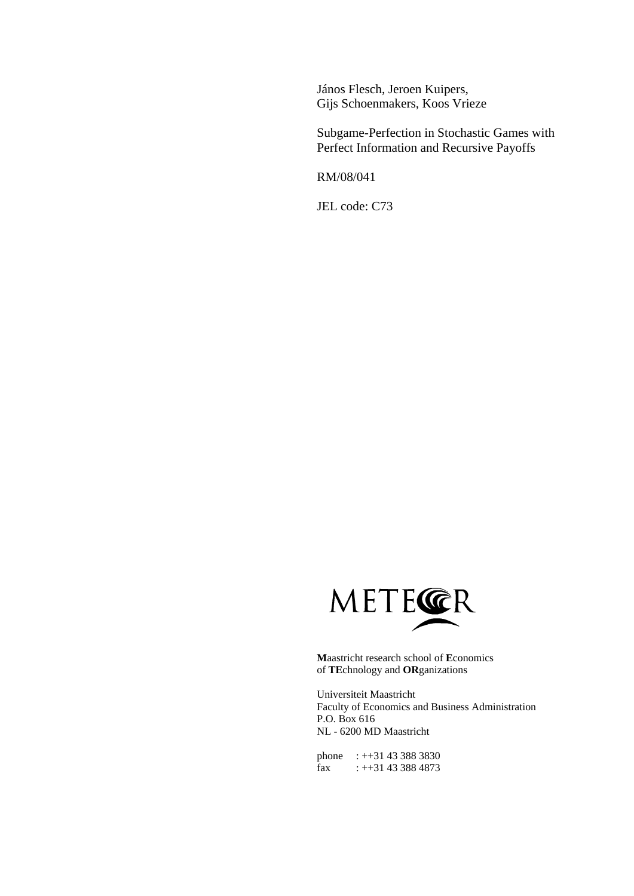János Flesch, Jeroen Kuipers, Gijs Schoenmakers, Koos Vrieze

Subgame-Perfection in Stochastic Games with Perfect Information and Recursive Payoffs

RM/08/041

JEL code: C73



**M**aastricht research school of **E**conomics of **TE**chnology and **OR**ganizations

Universiteit Maastricht Faculty of Economics and Business Administration P.O. Box 616 NL - 6200 MD Maastricht

phone : ++31 43 388 3830 fax : ++31 43 388 4873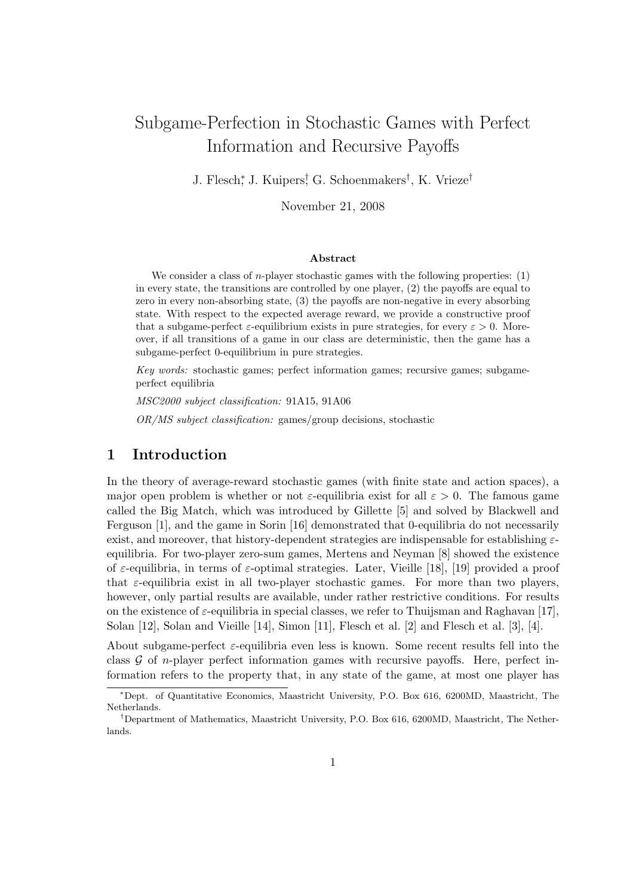# Subgame-Perfection in Stochastic Games with Perfect Information and Recursive Payoffs

J. Flesch<sup>∗</sup> , J. Kuipers† , G. Schoenmakers† , K. Vrieze†

November 21, 2008

#### Abstract

We consider a class of *n*-player stochastic games with the following properties:  $(1)$ in every state, the transitions are controlled by one player, (2) the payoffs are equal to zero in every non-absorbing state, (3) the payoffs are non-negative in every absorbing state. With respect to the expected average reward, we provide a constructive proof that a subgame-perfect  $\varepsilon$ -equilibrium exists in pure strategies, for every  $\varepsilon > 0$ . Moreover, if all transitions of a game in our class are deterministic, then the game has a subgame-perfect 0-equilibrium in pure strategies.

Key words: stochastic games; perfect information games; recursive games; subgameperfect equilibria

MSC2000 subject classification: 91A15, 91A06

OR/MS subject classification: games/group decisions, stochastic

## 1 Introduction

In the theory of average-reward stochastic games (with finite state and action spaces), a major open problem is whether or not  $\varepsilon$ -equilibria exist for all  $\varepsilon > 0$ . The famous game called the Big Match, which was introduced by Gillette [5] and solved by Blackwell and Ferguson [1], and the game in Sorin [16] demonstrated that 0-equilibria do not necessarily exist, and moreover, that history-dependent strategies are indispensable for establishing  $\varepsilon$ equilibria. For two-player zero-sum games, Mertens and Neyman [8] showed the existence of  $\varepsilon$ -equilibria, in terms of  $\varepsilon$ -optimal strategies. Later, Vieille [18], [19] provided a proof that  $\varepsilon$ -equilibria exist in all two-player stochastic games. For more than two players, however, only partial results are available, under rather restrictive conditions. For results on the existence of  $\varepsilon$ -equilibria in special classes, we refer to Thuijsman and Raghavan [17], Solan [12], Solan and Vieille [14], Simon [11], Flesch et al. [2] and Flesch et al. [3], [4].

About subgame-perfect  $\varepsilon$ -equilibria even less is known. Some recent results fell into the class  $G$  of *n*-player perfect information games with recursive payoffs. Here, perfect information refers to the property that, in any state of the game, at most one player has

<sup>∗</sup>Dept. of Quantitative Economics, Maastricht University, P.O. Box 616, 6200MD, Maastricht, The Netherlands.

<sup>†</sup>Department of Mathematics, Maastricht University, P.O. Box 616, 6200MD, Maastricht, The Netherlands.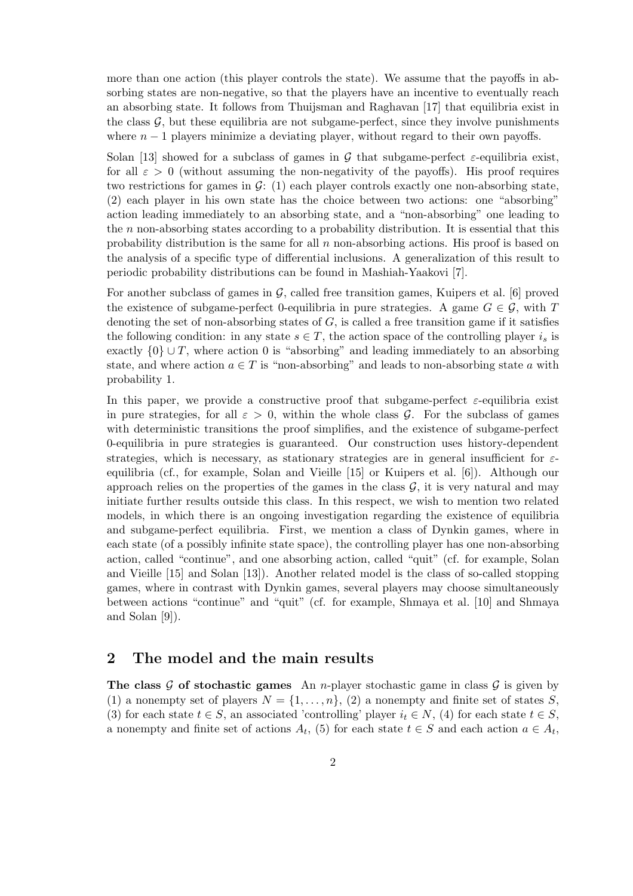more than one action (this player controls the state). We assume that the payoffs in absorbing states are non-negative, so that the players have an incentive to eventually reach an absorbing state. It follows from Thuijsman and Raghavan [17] that equilibria exist in the class  $\mathcal{G}$ , but these equilibria are not subgame-perfect, since they involve punishments where  $n-1$  players minimize a deviating player, without regard to their own payoffs.

Solan [13] showed for a subclass of games in G that subgame-perfect  $\varepsilon$ -equilibria exist, for all  $\varepsilon > 0$  (without assuming the non-negativity of the payoffs). His proof requires two restrictions for games in  $\mathcal{G}: (1)$  each player controls exactly one non-absorbing state, (2) each player in his own state has the choice between two actions: one "absorbing" action leading immediately to an absorbing state, and a "non-absorbing" one leading to the n non-absorbing states according to a probability distribution. It is essential that this probability distribution is the same for all  $n$  non-absorbing actions. His proof is based on the analysis of a specific type of differential inclusions. A generalization of this result to periodic probability distributions can be found in Mashiah-Yaakovi [7].

For another subclass of games in  $\mathcal{G}$ , called free transition games, Kuipers et al. [6] proved the existence of subgame-perfect 0-equilibria in pure strategies. A game  $G \in \mathcal{G}$ , with T denoting the set of non-absorbing states of  $G$ , is called a free transition game if it satisfies the following condition: in any state  $s \in T$ , the action space of the controlling player  $i_s$  is exactly  $\{0\} \cup T$ , where action 0 is "absorbing" and leading immediately to an absorbing state, and where action  $a \in T$  is "non-absorbing" and leads to non-absorbing state a with probability 1.

In this paper, we provide a constructive proof that subgame-perfect  $\varepsilon$ -equilibria exist in pure strategies, for all  $\varepsilon > 0$ , within the whole class G. For the subclass of games with deterministic transitions the proof simplifies, and the existence of subgame-perfect 0-equilibria in pure strategies is guaranteed. Our construction uses history-dependent strategies, which is necessary, as stationary strategies are in general insufficient for  $\varepsilon$ equilibria (cf., for example, Solan and Vieille [15] or Kuipers et al. [6]). Although our approach relies on the properties of the games in the class  $G$ , it is very natural and may initiate further results outside this class. In this respect, we wish to mention two related models, in which there is an ongoing investigation regarding the existence of equilibria and subgame-perfect equilibria. First, we mention a class of Dynkin games, where in each state (of a possibly infinite state space), the controlling player has one non-absorbing action, called "continue", and one absorbing action, called "quit" (cf. for example, Solan and Vieille [15] and Solan [13]). Another related model is the class of so-called stopping games, where in contrast with Dynkin games, several players may choose simultaneously between actions "continue" and "quit" (cf. for example, Shmaya et al. [10] and Shmaya and Solan [9]).

## 2 The model and the main results

The class G of stochastic games An *n*-player stochastic game in class G is given by (1) a nonempty set of players  $N = \{1, \ldots, n\}$ , (2) a nonempty and finite set of states S, (3) for each state  $t \in S$ , an associated 'controlling' player  $i_t \in N$ , (4) for each state  $t \in S$ , a nonempty and finite set of actions  $A_t$ , (5) for each state  $t \in S$  and each action  $a \in A_t$ ,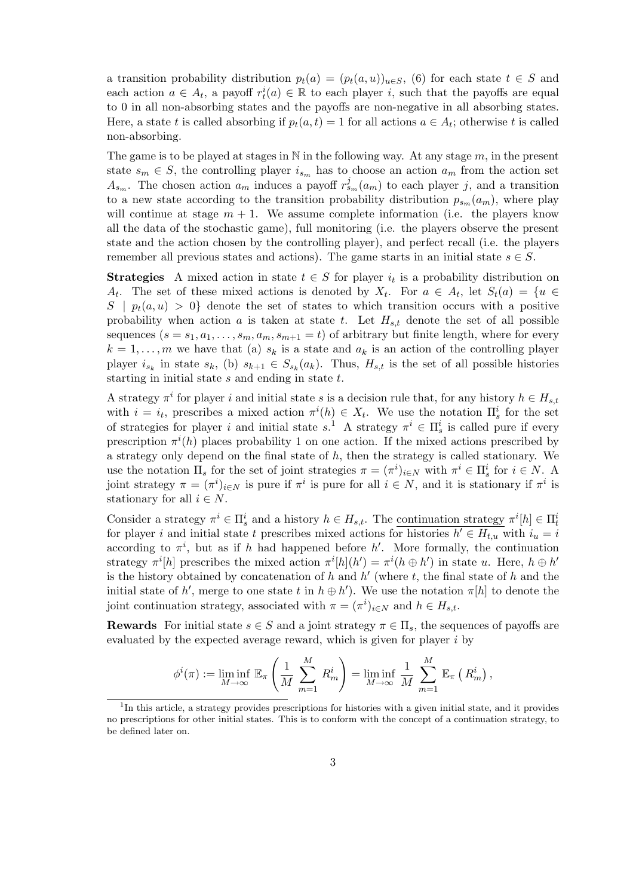a transition probability distribution  $p_t(a) = (p_t(a, u))_{u \in S}$ , (6) for each state  $t \in S$  and each action  $a \in A_t$ , a payoff  $r_t^i(a) \in \mathbb{R}$  to each player i, such that the payoffs are equal to 0 in all non-absorbing states and the payoffs are non-negative in all absorbing states. Here, a state t is called absorbing if  $p_t(a,t) = 1$  for all actions  $a \in A_t$ ; otherwise t is called non-absorbing.

The game is to be played at stages in  $\mathbb N$  in the following way. At any stage  $m$ , in the present state  $s_m \in S$ , the controlling player  $i_{s_m}$  has to choose an action  $a_m$  from the action set  $A_{s_m}$ . The chosen action  $a_m$  induces a payoff  $r_{s_m}^j(a_m)$  to each player j, and a transition to a new state according to the transition probability distribution  $p_{s_m}(a_m)$ , where play will continue at stage  $m + 1$ . We assume complete information (i.e. the players know all the data of the stochastic game), full monitoring (i.e. the players observe the present state and the action chosen by the controlling player), and perfect recall (i.e. the players remember all previous states and actions). The game starts in an initial state  $s \in S$ .

**Strategies** A mixed action in state  $t \in S$  for player  $i_t$  is a probability distribution on  $A_t$ . The set of these mixed actions is denoted by  $X_t$ . For  $a \in A_t$ , let  $S_t(a) = \{u \in A_t\}$  $S \mid p_t(a, u) > 0$  denote the set of states to which transition occurs with a positive probability when action a is taken at state t. Let  $H_{st}$  denote the set of all possible sequences  $(s = s_1, a_1, \ldots, s_m, a_m, s_{m+1} = t)$  of arbitrary but finite length, where for every  $k = 1, \ldots, m$  we have that (a)  $s_k$  is a state and  $a_k$  is an action of the controlling player player  $i_{s_k}$  in state  $s_k$ , (b)  $s_{k+1} \in S_{s_k}(a_k)$ . Thus,  $H_{s,t}$  is the set of all possible histories starting in initial state  $s$  and ending in state  $t$ .

A strategy  $\pi^i$  for player i and initial state s is a decision rule that, for any history  $h \in H_{s,t}$ with  $i = i_t$ , prescribes a mixed action  $\pi^i(h) \in X_t$ . We use the notation  $\Pi_s^i$  for the set of strategies for player i and initial state  $s^1$ . A strategy  $\pi^i \in \Pi_s^i$  is called pure if every prescription  $\pi^{i}(h)$  places probability 1 on one action. If the mixed actions prescribed by a strategy only depend on the final state of  $h$ , then the strategy is called stationary. We use the notation  $\Pi_s$  for the set of joint strategies  $\pi = (\pi^i)_{i \in N}$  with  $\pi^i \in \Pi_s^i$  for  $i \in N$ . A joint strategy  $\pi = (\pi^i)_{i \in N}$  is pure if  $\pi^i$  is pure for all  $i \in N$ , and it is stationary if  $\pi^i$  is stationary for all  $i \in N$ .

Consider a strategy  $\pi^i \in \Pi_s^i$  and a history  $h \in H_{s,t}$ . The <u>continuation strategy</u>  $\pi^i[h] \in \Pi_t^i$ for player i and initial state t prescribes mixed actions for histories  $h' \in H_{t,u}$  with  $i_u = i$ according to  $\pi^i$ , but as if h had happened before h'. More formally, the continuation strategy  $\pi^{i}[h]$  prescribes the mixed action  $\pi^{i}[h](h') = \pi^{i}(h \oplus h')$  in state u. Here,  $h \oplus h'$ is the history obtained by concatenation of h and  $h'$  (where t, the final state of h and the initial state of h', merge to one state t in  $h \oplus h'$ ). We use the notation  $\pi[h]$  to denote the joint continuation strategy, associated with  $\pi = (\pi^i)_{i \in N}$  and  $h \in H_{s,t}$ .

**Rewards** For initial state  $s \in S$  and a joint strategy  $\pi \in \Pi_s$ , the sequences of payoffs are evaluated by the expected average reward, which is given for player  $i$  by

$$
\phi^{i}(\pi) := \liminf_{M \to \infty} \mathbb{E}_{\pi} \left( \frac{1}{M} \sum_{m=1}^{M} R_{m}^{i} \right) = \liminf_{M \to \infty} \frac{1}{M} \sum_{m=1}^{M} \mathbb{E}_{\pi} \left( R_{m}^{i} \right),
$$

<sup>&</sup>lt;sup>1</sup>In this article, a strategy provides prescriptions for histories with a given initial state, and it provides no prescriptions for other initial states. This is to conform with the concept of a continuation strategy, to be defined later on.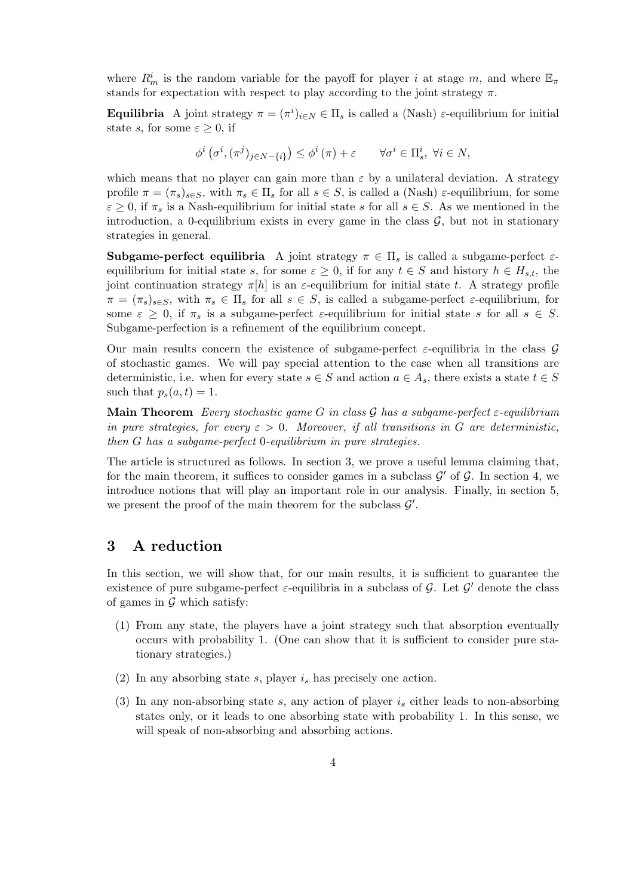where  $R_m^i$  is the random variable for the payoff for player i at stage m, and where  $\mathbb{E}_{\pi}$ stands for expectation with respect to play according to the joint strategy  $\pi$ .

**Equilibria** A joint strategy  $\pi = (\pi^i)_{i \in N} \in \Pi_s$  is called a (Nash)  $\varepsilon$ -equilibrium for initial state s, for some  $\varepsilon \geq 0$ , if

$$
\phi^i\left(\sigma^i,(\pi^j)_{j\in N-\{i\}}\right)\leq \phi^i\left(\pi\right)+\varepsilon\qquad\forall\sigma^i\in\Pi^i_s,\;\forall i\in N,
$$

which means that no player can gain more than  $\varepsilon$  by a unilateral deviation. A strategy profile  $\pi = (\pi_s)_{s \in S}$ , with  $\pi_s \in \Pi_s$  for all  $s \in S$ , is called a (Nash)  $\varepsilon$ -equilibrium, for some  $\varepsilon \geq 0$ , if  $\pi_s$  is a Nash-equilibrium for initial state s for all  $s \in S$ . As we mentioned in the introduction, a 0-equilibrium exists in every game in the class  $G$ , but not in stationary strategies in general.

**Subgame-perfect equilibria** A joint strategy  $\pi \in \Pi_s$  is called a subgame-perfect  $\varepsilon$ equilibrium for initial state s, for some  $\varepsilon \geq 0$ , if for any  $t \in S$  and history  $h \in H_{s,t}$ , the joint continuation strategy  $\pi[h]$  is an  $\varepsilon$ -equilibrium for initial state t. A strategy profile  $\pi = (\pi_s)_{s \in S}$ , with  $\pi_s \in \Pi_s$  for all  $s \in S$ , is called a subgame-perfect  $\varepsilon$ -equilibrium, for some  $\varepsilon \geq 0$ , if  $\pi_s$  is a subgame-perfect  $\varepsilon$ -equilibrium for initial state s for all  $s \in S$ . Subgame-perfection is a refinement of the equilibrium concept.

Our main results concern the existence of subgame-perfect  $\varepsilon$ -equilibria in the class G of stochastic games. We will pay special attention to the case when all transitions are deterministic, i.e. when for every state  $s \in S$  and action  $a \in A_s$ , there exists a state  $t \in S$ such that  $p_s(a, t) = 1$ .

Main Theorem Every stochastic game G in class G has a subgame-perfect  $\varepsilon$ -equilibrium in pure strategies, for every  $\varepsilon > 0$ . Moreover, if all transitions in G are deterministic, then G has a subgame-perfect 0-equilibrium in pure strategies.

The article is structured as follows. In section 3, we prove a useful lemma claiming that, for the main theorem, it suffices to consider games in a subclass  $\mathcal{G}'$  of  $\mathcal{G}$ . In section 4, we introduce notions that will play an important role in our analysis. Finally, in section 5, we present the proof of the main theorem for the subclass  $\mathcal{G}'$ .

## 3 A reduction

In this section, we will show that, for our main results, it is sufficient to guarantee the existence of pure subgame-perfect  $\varepsilon$ -equilibria in a subclass of  $\mathcal{G}$ . Let  $\mathcal{G}'$  denote the class of games in  $\mathcal G$  which satisfy:

- (1) From any state, the players have a joint strategy such that absorption eventually occurs with probability 1. (One can show that it is sufficient to consider pure stationary strategies.)
- (2) In any absorbing state s, player  $i_s$  has precisely one action.
- (3) In any non-absorbing state s, any action of player  $i_s$  either leads to non-absorbing states only, or it leads to one absorbing state with probability 1. In this sense, we will speak of non-absorbing and absorbing actions.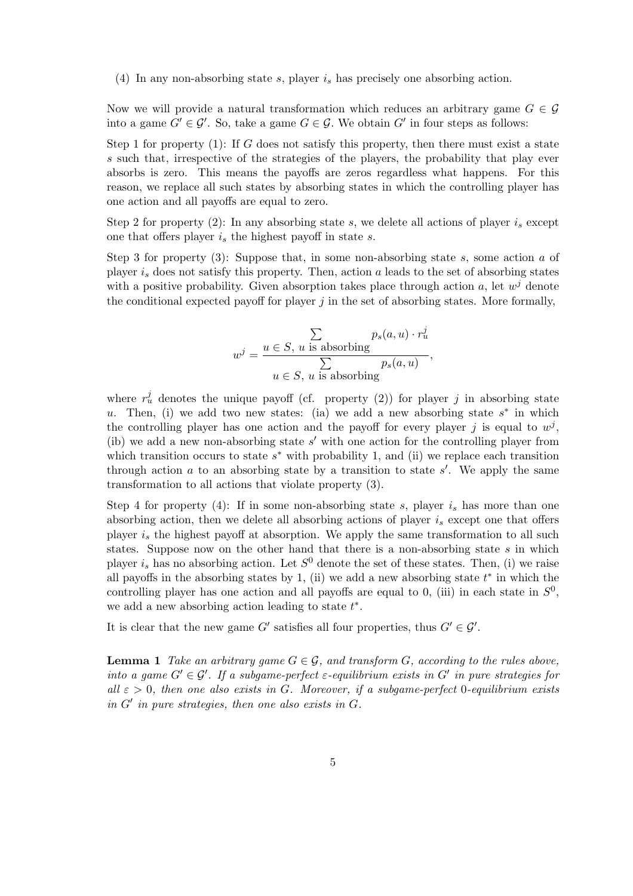(4) In any non-absorbing state s, player  $i_s$  has precisely one absorbing action.

Now we will provide a natural transformation which reduces an arbitrary game  $G \in \mathcal{G}$ into a game  $G' \in \mathcal{G}'$ . So, take a game  $G \in \mathcal{G}$ . We obtain  $G'$  in four steps as follows:

Step 1 for property  $(1)$ : If G does not satisfy this property, then there must exist a state s such that, irrespective of the strategies of the players, the probability that play ever absorbs is zero. This means the payoffs are zeros regardless what happens. For this reason, we replace all such states by absorbing states in which the controlling player has one action and all payoffs are equal to zero.

Step 2 for property (2): In any absorbing state s, we delete all actions of player  $i_s$  except one that offers player  $i_s$  the highest payoff in state s.

Step 3 for property  $(3)$ : Suppose that, in some non-absorbing state s, some action a of player  $i_s$  does not satisfy this property. Then, action a leads to the set of absorbing states with a positive probability. Given absorption takes place through action a, let  $w^j$  denote the conditional expected payoff for player  $j$  in the set of absorbing states. More formally,

$$
w^{j} = \frac{\sum_{u \in S, u \text{ is absorbing}} p_{s}(a, u) \cdot r_{u}^{j}}{\sum_{u \in S, u \text{ is absorbing}} p_{s}(a, u)},
$$

where  $r_u^j$  denotes the unique payoff (cf. property (2)) for player j in absorbing state u. Then, (i) we add two new states: (ia) we add a new absorbing state  $s^*$  in which the controlling player has one action and the payoff for every player j is equal to  $w^j$ , (ib) we add a new non-absorbing state  $s'$  with one action for the controlling player from which transition occurs to state  $s^*$  with probability 1, and (ii) we replace each transition through action  $a$  to an absorbing state by a transition to state  $s'$ . We apply the same transformation to all actions that violate property (3).

Step 4 for property (4): If in some non-absorbing state s, player  $i_s$  has more than one absorbing action, then we delete all absorbing actions of player  $i_s$  except one that offers player  $i_s$  the highest payoff at absorption. We apply the same transformation to all such states. Suppose now on the other hand that there is a non-absorbing state  $s$  in which player  $i_s$  has no absorbing action. Let  $S^0$  denote the set of these states. Then, (i) we raise all payoffs in the absorbing states by 1, (ii) we add a new absorbing state  $t^*$  in which the controlling player has one action and all payoffs are equal to 0, (iii) in each state in  $S^0$ , we add a new absorbing action leading to state  $t^*$ .

It is clear that the new game G' satisfies all four properties, thus  $G' \in \mathcal{G}'$ .

**Lemma 1** Take an arbitrary game  $G \in \mathcal{G}$ , and transform G, according to the rules above, into a game  $G' \in \mathcal{G}'$ . If a subgame-perfect  $\varepsilon$ -equilibrium exists in  $G'$  in pure strategies for all  $\varepsilon > 0$ , then one also exists in G. Moreover, if a subgame-perfect 0-equilibrium exists in G′ in pure strategies, then one also exists in G.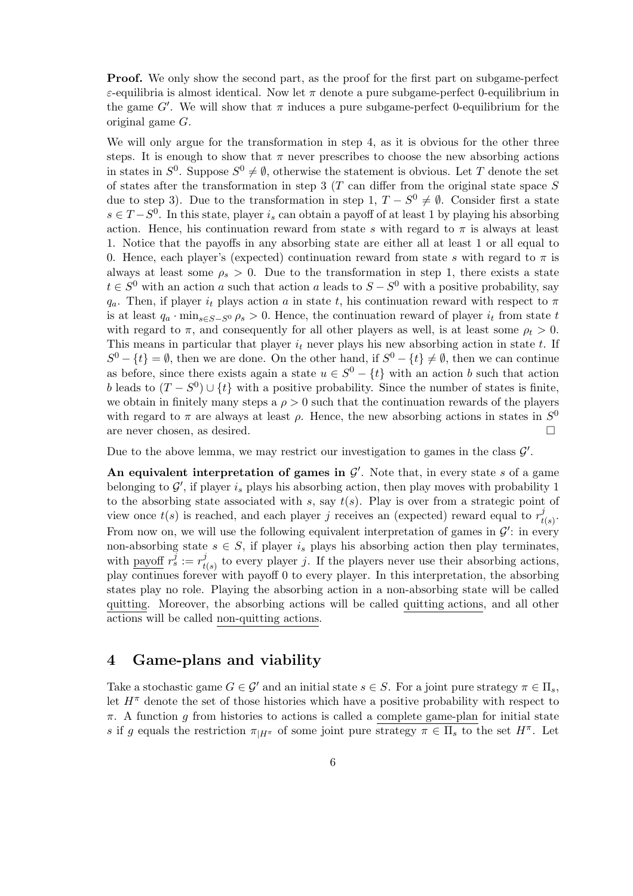Proof. We only show the second part, as the proof for the first part on subgame-perfect ε-equilibria is almost identical. Now let π denote a pure subgame-perfect 0-equilibrium in the game  $G'$ . We will show that  $\pi$  induces a pure subgame-perfect 0-equilibrium for the original game G.

We will only argue for the transformation in step 4, as it is obvious for the other three steps. It is enough to show that  $\pi$  never prescribes to choose the new absorbing actions in states in  $S^0$ . Suppose  $S^0 \neq \emptyset$ , otherwise the statement is obvious. Let T denote the set of states after the transformation in step  $3$  (T can differ from the original state space S due to step 3). Due to the transformation in step 1,  $T - S^0 \neq \emptyset$ . Consider first a state  $s \in T - S^0$ . In this state, player  $i_s$  can obtain a payoff of at least 1 by playing his absorbing action. Hence, his continuation reward from state s with regard to  $\pi$  is always at least 1. Notice that the payoffs in any absorbing state are either all at least 1 or all equal to 0. Hence, each player's (expected) continuation reward from state s with regard to  $\pi$  is always at least some  $\rho_s > 0$ . Due to the transformation in step 1, there exists a state  $t \in S^0$  with an action a such that action a leads to  $S - S^0$  with a positive probability, say  $q_a$ . Then, if player  $i_t$  plays action a in state t, his continuation reward with respect to  $\pi$ is at least  $q_a \cdot \min_{s \in S-S^0} \rho_s > 0$ . Hence, the continuation reward of player  $i_t$  from state t with regard to  $\pi$ , and consequently for all other players as well, is at least some  $\rho_t > 0$ . This means in particular that player  $i_t$  never plays his new absorbing action in state t. If  $S^0 - \{t\} = \emptyset$ , then we are done. On the other hand, if  $S^0 - \{t\} \neq \emptyset$ , then we can continue as before, since there exists again a state  $u \in S^0 - \{t\}$  with an action b such that action b leads to  $(T - S^0) \cup \{t\}$  with a positive probability. Since the number of states is finite, we obtain in finitely many steps a  $\rho > 0$  such that the continuation rewards of the players with regard to  $\pi$  are always at least  $\rho$ . Hence, the new absorbing actions in states in  $S^0$ are never chosen, as desired.  $\square$ 

Due to the above lemma, we may restrict our investigation to games in the class  $\mathcal{G}'$ .

An equivalent interpretation of games in  $\mathcal{G}'$ . Note that, in every state s of a game belonging to  $\mathcal{G}'$ , if player  $i_s$  plays his absorbing action, then play moves with probability 1 to the absorbing state associated with s, say  $t(s)$ . Play is over from a strategic point of view once  $t(s)$  is reached, and each player j receives an (expected) reward equal to  $r_t^j$  $_{t(s)}^j.$ From now on, we will use the following equivalent interpretation of games in  $\mathcal{G}'$ : in every non-absorbing state  $s \in S$ , if player  $i_s$  plays his absorbing action then play terminates, with payoff  $r_s^{\bar{j}} := r_t^{\bar{j}}$  $t(s)$  to every player j. If the players never use their absorbing actions, play continues forever with payoff 0 to every player. In this interpretation, the absorbing states play no role. Playing the absorbing action in a non-absorbing state will be called quitting. Moreover, the absorbing actions will be called quitting actions, and all other actions will be called non-quitting actions.

## 4 Game-plans and viability

Take a stochastic game  $G \in \mathcal{G}'$  and an initial state  $s \in S$ . For a joint pure strategy  $\pi \in \Pi_s$ , let  $H^{\pi}$  denote the set of those histories which have a positive probability with respect to  $\pi$ . A function g from histories to actions is called a complete game-plan for initial state s if g equals the restriction  $\pi_{|H^{\pi}}$  of some joint pure strategy  $\pi \in \Pi_s$  to the set  $H^{\pi}$ . Let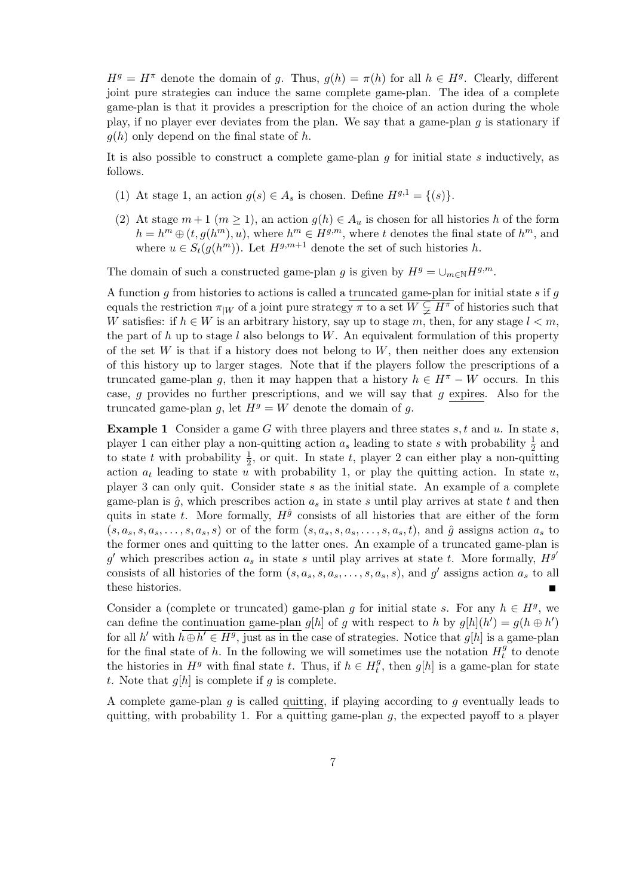$H<sup>g</sup> = H<sup>\pi</sup>$  denote the domain of g. Thus,  $g(h) = \pi(h)$  for all  $h \in H<sup>g</sup>$ . Clearly, different joint pure strategies can induce the same complete game-plan. The idea of a complete game-plan is that it provides a prescription for the choice of an action during the whole play, if no player ever deviates from the plan. We say that a game-plan  $q$  is stationary if  $g(h)$  only depend on the final state of h.

It is also possible to construct a complete game-plan  $g$  for initial state  $s$  inductively, as follows.

- (1) At stage 1, an action  $g(s) \in A_s$  is chosen. Define  $H^{g,1} = \{(s)\}.$
- (2) At stage  $m+1$   $(m \ge 1)$ , an action  $g(h) \in A_u$  is chosen for all histories h of the form  $h = h^m \oplus (t, g(h^m), u)$ , where  $h^m \in H^{g,m}$ , where t denotes the final state of  $h^m$ , and where  $u \in S_t(g(h^m))$ . Let  $H^{g,m+1}$  denote the set of such histories h.

The domain of such a constructed game-plan g is given by  $H<sup>g</sup> = \bigcup_{m \in \mathbb{N}} H<sup>g,m</sup>$ .

A function  $g$  from histories to actions is called a truncated game-plan for initial state  $s$  if  $g$ equals the restriction  $\pi_{|W}$  of a joint pure strategy  $\pi$  to a set  $W \subsetneq H^{\pi}$  of histories such that W satisfies: if  $h \in W$  is an arbitrary history, say up to stage m, then, for any stage  $l < m$ , the part of h up to stage l also belongs to W. An equivalent formulation of this property of the set  $W$  is that if a history does not belong to  $W$ , then neither does any extension of this history up to larger stages. Note that if the players follow the prescriptions of a truncated game-plan g, then it may happen that a history  $h \in H^{\pi} - W$  occurs. In this case, q provides no further prescriptions, and we will say that q expires. Also for the truncated game-plan g, let  $H<sup>g</sup> = W$  denote the domain of g.

**Example 1** Consider a game G with three players and three states s, t and u. In state s, player 1 can either play a non-quitting action  $a_s$  leading to state s with probability  $\frac{1}{2}$  and to state t with probability  $\frac{1}{2}$ , or quit. In state t, player 2 can either play a non-quitting action  $a_t$  leading to state u with probability 1, or play the quitting action. In state u, player 3 can only quit. Consider state s as the initial state. An example of a complete game-plan is  $\hat{g}$ , which prescribes action  $a_s$  in state s until play arrives at state s and then quits in state t. More formally,  $H^{\hat{g}}$  consists of all histories that are either of the form  $(s, a<sub>s</sub>, s, a<sub>s</sub>, ..., s, a<sub>s</sub>, s)$  or of the form  $(s, a<sub>s</sub>, s, a<sub>s</sub>, ..., s, a<sub>s</sub>, t)$ , and  $\hat{q}$  assigns action  $a<sub>s</sub>$  to the former ones and quitting to the latter ones. An example of a truncated game-plan is g' which prescribes action  $a_s$  in state s until play arrives at state t. More formally,  $H^{g'}$ consists of all histories of the form  $(s, a_s, s, a_s, \ldots, s, a_s, s)$ , and g' assigns action  $a_s$  to all these histories.

Consider a (complete or truncated) game-plan g for initial state s. For any  $h \in H<sup>g</sup>$ , we can define the continuation game-plan  $g[h]$  of g with respect to h by  $g[h](h') = g(h \oplus h')$ for all h' with  $h \oplus h' \in H^g$ , just as in the case of strategies. Notice that  $g[h]$  is a game-plan for the final state of h. In the following we will sometimes use the notation  $H_t^g$  $t$ <sup>*y*</sup> to denote the histories in  $H^g$  with final state t. Thus, if  $h \in H_t^g$  $t<sup>g</sup>$ , then  $g[h]$  is a game-plan for state t. Note that  $g[h]$  is complete if g is complete.

A complete game-plan  $g$  is called quitting, if playing according to  $g$  eventually leads to quitting, with probability 1. For a quitting game-plan  $g$ , the expected payoff to a player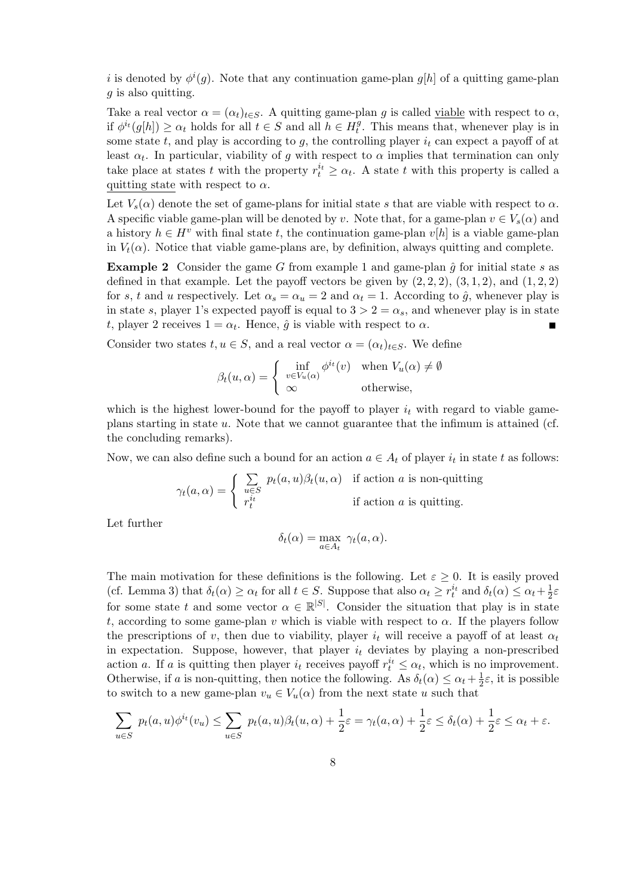i is denoted by  $\phi^{i}(g)$ . Note that any continuation game-plan  $g[h]$  of a quitting game-plan g is also quitting.

Take a real vector  $\alpha = (\alpha_t)_{t \in S}$ . A quitting game-plan g is called viable with respect to  $\alpha$ , if  $\phi^{i_t}(g[h]) \geq \alpha_t$  holds for all  $t \in S$  and all  $h \in H_t^{\overline{g}}$  $t<sup>y</sup>$ . This means that, whenever play is in some state t, and play is according to g, the controlling player  $i_t$  can expect a payoff of at least  $\alpha_t$ . In particular, viability of g with respect to  $\alpha$  implies that termination can only take place at states t with the property  $r_t^{i_t} \geq \alpha_t$ . A state t with this property is called a quitting state with respect to  $\alpha$ .

Let  $V_s(\alpha)$  denote the set of game-plans for initial state s that are viable with respect to  $\alpha$ . A specific viable game-plan will be denoted by v. Note that, for a game-plan  $v \in V_s(\alpha)$  and a history  $h \in H^v$  with final state t, the continuation game-plan  $v[h]$  is a viable game-plan in  $V_t(\alpha)$ . Notice that viable game-plans are, by definition, always quitting and complete.

**Example 2** Consider the game G from example 1 and game-plan  $\hat{q}$  for initial state s as defined in that example. Let the payoff vectors be given by  $(2, 2, 2)$ ,  $(3, 1, 2)$ , and  $(1, 2, 2)$ for s, t and u respectively. Let  $\alpha_s = \alpha_u = 2$  and  $\alpha_t = 1$ . According to  $\hat{g}$ , whenever play is in state s, player 1's expected payoff is equal to  $3 > 2 = \alpha_s$ , and whenever play is in state t, player 2 receives  $1 = \alpha_t$ . Hence,  $\hat{g}$  is viable with respect to  $\alpha$ .

Consider two states  $t, u \in S$ , and a real vector  $\alpha = (\alpha_t)_{t \in S}$ . We define

$$
\beta_t(u,\alpha) = \begin{cases} \inf_{v \in V_u(\alpha)} \phi^{i_t}(v) & \text{when } V_u(\alpha) \neq \emptyset \\ \infty & \text{otherwise,} \end{cases}
$$

which is the highest lower-bound for the payoff to player  $i_t$  with regard to viable gameplans starting in state u. Note that we cannot guarantee that the infimum is attained (cf. the concluding remarks).

Now, we can also define such a bound for an action  $a \in A_t$  of player  $i_t$  in state t as follows:

$$
\gamma_t(a,\alpha) = \begin{cases} \sum_{u \in S} p_t(a,u)\beta_t(u,\alpha) & \text{if action } a \text{ is non-quitting} \\ r_t^{i_t} & \text{if action } a \text{ is quitting.} \end{cases}
$$

Let further

$$
\delta_t(\alpha) = \max_{a \in A_t} \ \gamma_t(a, \alpha).
$$

The main motivation for these definitions is the following. Let  $\varepsilon > 0$ . It is easily proved (cf. Lemma 3) that  $\delta_t(\alpha) \geq \alpha_t$  for all  $t \in S$ . Suppose that also  $\alpha_t \geq r_t^{i_t}$  and  $\delta_t(\alpha) \leq \alpha_t + \frac{1}{2}$  $rac{1}{2}\varepsilon$ for some state t and some vector  $\alpha \in \mathbb{R}^{|S|}$ . Consider the situation that play is in state t, according to some game-plan v which is viable with respect to  $\alpha$ . If the players follow the prescriptions of v, then due to viability, player  $i_t$  will receive a payoff of at least  $\alpha_t$ in expectation. Suppose, however, that player  $i_t$  deviates by playing a non-prescribed action a. If a is quitting then player  $i_t$  receives payoff  $r_t^{i_t} \leq \alpha_t$ , which is no improvement. Otherwise, if a is non-quitting, then notice the following. As  $\delta_t(\alpha) \leq \alpha_t + \frac{1}{2}$  $\frac{1}{2}\varepsilon$ , it is possible to switch to a new game-plan  $v_u \in V_u(\alpha)$  from the next state u such that

$$
\sum_{u \in S} p_t(a, u)\phi^{i_t}(v_u) \leq \sum_{u \in S} p_t(a, u)\beta_t(u, \alpha) + \frac{1}{2}\varepsilon = \gamma_t(a, \alpha) + \frac{1}{2}\varepsilon \leq \delta_t(\alpha) + \frac{1}{2}\varepsilon \leq \alpha_t + \varepsilon.
$$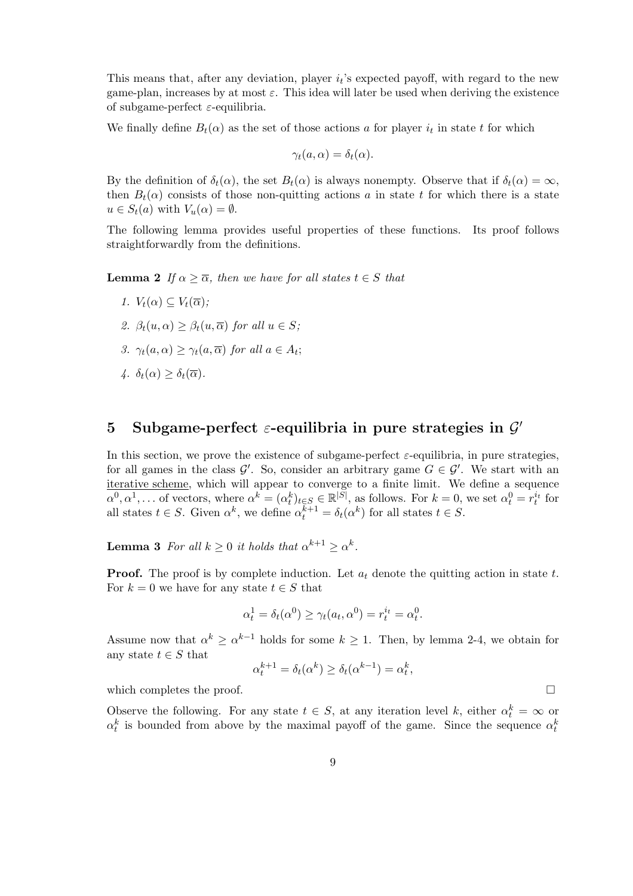This means that, after any deviation, player  $i_t$ 's expected payoff, with regard to the new game-plan, increases by at most  $\varepsilon$ . This idea will later be used when deriving the existence of subgame-perfect  $\varepsilon$ -equilibria.

We finally define  $B_t(\alpha)$  as the set of those actions a for player  $i_t$  in state t for which

$$
\gamma_t(a,\alpha)=\delta_t(\alpha).
$$

By the definition of  $\delta_t(\alpha)$ , the set  $B_t(\alpha)$  is always nonempty. Observe that if  $\delta_t(\alpha) = \infty$ , then  $B_t(\alpha)$  consists of those non-quitting actions a in state t for which there is a state  $u \in S_t(a)$  with  $V_u(\alpha) = \emptyset$ .

The following lemma provides useful properties of these functions. Its proof follows straightforwardly from the definitions.

**Lemma 2** If  $\alpha \geq \overline{\alpha}$ , then we have for all states  $t \in S$  that

- 1.  $V_t(\alpha) \subseteq V_t(\overline{\alpha})$ ;
- 2.  $\beta_t(u,\alpha) > \beta_t(u,\overline{\alpha})$  for all  $u \in S$ ;
- 3.  $\gamma_t(a,\alpha) \geq \gamma_t(a,\overline{\alpha})$  for all  $a \in A_t$ ;
- $\lambda$ .  $\delta_t(\alpha) > \delta_t(\overline{\alpha})$ .

## 5 Subgame-perfect  $\varepsilon$ -equilibria in pure strategies in  $\mathcal{G}'$

In this section, we prove the existence of subgame-perfect  $\varepsilon$ -equilibria, in pure strategies, for all games in the class  $\mathcal{G}'$ . So, consider an arbitrary game  $G \in \mathcal{G}'$ . We start with an iterative scheme, which will appear to converge to a finite limit. We define a sequence  $\alpha^0, \alpha^1, \ldots$  of vectors, where  $\alpha^k = (\alpha^k_t)_{t \in S} \in \mathbb{R}^{|S|}$ , as follows. For  $k = 0$ , we set  $\alpha^0_t = r_t^{i_t}$  for all states  $t \in S$ . Given  $\alpha^k$ , we define  $\alpha^{k+1} = \delta_t(\alpha^k)$  for all states  $t \in S$ .

**Lemma 3** For all  $k \geq 0$  it holds that  $\alpha^{k+1} \geq \alpha^k$ .

**Proof.** The proof is by complete induction. Let  $a_t$  denote the quitting action in state t. For  $k = 0$  we have for any state  $t \in S$  that

$$
\alpha_t^1 = \delta_t(\alpha^0) \ge \gamma_t(a_t, \alpha^0) = r_t^{i_t} = \alpha_t^0.
$$

Assume now that  $\alpha^k \geq \alpha^{k-1}$  holds for some  $k \geq 1$ . Then, by lemma 2-4, we obtain for any state  $t \in S$  that

$$
\alpha_t^{k+1} = \delta_t(\alpha^k) \ge \delta_t(\alpha^{k-1}) = \alpha_t^k,
$$

which completes the proof.  $\Box$ 

Observe the following. For any state  $t \in S$ , at any iteration level k, either  $\alpha_t^k = \infty$  or  $\alpha_t^k$  is bounded from above by the maximal payoff of the game. Since the sequence  $\alpha_t^k$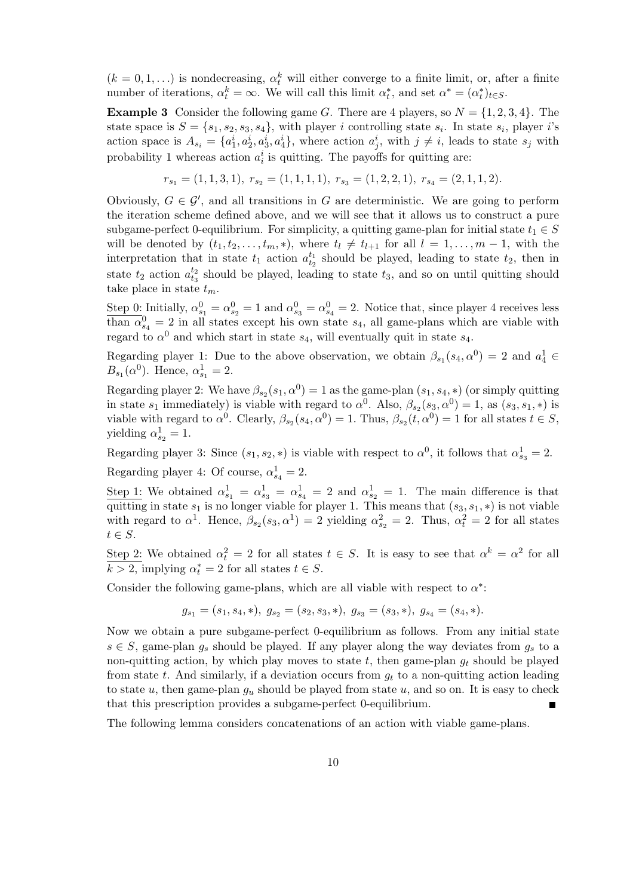$(k = 0, 1, ...)$  is nondecreasing,  $\alpha_t^k$  will either converge to a finite limit, or, after a finite number of iterations,  $\alpha_t^k = \infty$ . We will call this limit  $\alpha_t^*$ , and set  $\alpha^* = (\alpha_t^*)_{t \in S}$ .

**Example 3** Consider the following game G. There are 4 players, so  $N = \{1, 2, 3, 4\}$ . The state space is  $S = \{s_1, s_2, s_3, s_4\}$ , with player i controlling state  $s_i$ . In state  $s_i$ , player i's action space is  $A_{s_i} = \{a_1^i, a_2^i, a_3^i, a_4^i\}$ , where action  $a_j^i$ , with  $j \neq i$ , leads to state  $s_j$  with probability 1 whereas action  $a_i^i$  is quitting. The payoffs for quitting are:

$$
r_{s_1} = (1, 1, 3, 1), r_{s_2} = (1, 1, 1, 1), r_{s_3} = (1, 2, 2, 1), r_{s_4} = (2, 1, 1, 2).
$$

Obviously,  $G \in \mathcal{G}'$ , and all transitions in G are deterministic. We are going to perform the iteration scheme defined above, and we will see that it allows us to construct a pure subgame-perfect 0-equilibrium. For simplicity, a quitting game-plan for initial state  $t_1 \in S$ will be denoted by  $(t_1, t_2, \ldots, t_m, *)$ , where  $t_l \neq t_{l+1}$  for all  $l = 1, \ldots, m-1$ , with the interpretation that in state  $t_1$  action  $a_{t_2}^{t_1}$  should be played, leading to state  $t_2$ , then in state  $t_2$  action  $a_{t_3}^{t_2}$  should be played, leading to state  $t_3$ , and so on until quitting should take place in state  $t_m$ .

Step 0: Initially,  $\alpha_{s_1}^0 = \alpha_{s_2}^0 = 1$  and  $\alpha_{s_3}^0 = \alpha_{s_4}^0 = 2$ . Notice that, since player 4 receives less than  $\alpha_{s_4}^0 = 2$  in all states except his own state  $s_4$ , all game-plans which are viable with regard to  $\alpha^0$  and which start in state  $s_4$ , will eventually quit in state  $s_4$ .

Regarding player 1: Due to the above observation, we obtain  $\beta_{s_1}(s_4, \alpha^0) = 2$  and  $a_4^1 \in$  $B_{s_1}(\alpha^0)$ . Hence,  $\alpha_{s_1}^1 = 2$ .

Regarding player 2: We have  $\beta_{s_2}(s_1, \alpha^0) = 1$  as the game-plan  $(s_1, s_4, *)$  (or simply quitting in state  $s_1$  immediately) is viable with regard to  $\alpha^0$ . Also,  $\beta_{s_2}(s_3, \alpha^0) = 1$ , as  $(s_3, s_1, *)$  is viable with regard to  $\alpha^0$ . Clearly,  $\beta_{s_2}(s_4, \alpha^0) = 1$ . Thus,  $\beta_{s_2}(t, \alpha^0) = 1$  for all states  $t \in S$ , yielding  $\alpha_{s_2}^1 = 1$ .

Regarding player 3: Since  $(s_1, s_2, *)$  is viable with respect to  $\alpha^0$ , it follows that  $\alpha^1_{s_3} = 2$ . Regarding player 4: Of course,  $\alpha_{s_4}^1 = 2$ .

Step 1: We obtained  $\alpha_{s_1}^1 = \alpha_{s_3}^1 = \alpha_{s_4}^1 = 2$  and  $\alpha_{s_2}^1 = 1$ . The main difference is that quitting in state  $s_1$  is no longer viable for player 1. This means that  $(s_3, s_1, *)$  is not viable with regard to  $\alpha^1$ . Hence,  $\beta_{s_2}(s_3, \alpha^1) = 2$  yielding  $\alpha_{s_2}^2 = 2$ . Thus,  $\alpha_t^2 = 2$  for all states  $t \in S$ .

Step 2: We obtained  $\alpha_t^2 = 2$  for all states  $t \in S$ . It is easy to see that  $\alpha^k = \alpha^2$  for all  $k > 2$ , implying  $\alpha_t^* = 2$  for all states  $t \in S$ .

Consider the following game-plans, which are all viable with respect to  $\alpha^*$ :

$$
g_{s_1} = (s_1, s_4, *), \ g_{s_2} = (s_2, s_3, *), \ g_{s_3} = (s_3, *), \ g_{s_4} = (s_4, *).
$$

Now we obtain a pure subgame-perfect 0-equilibrium as follows. From any initial state  $s \in S$ , game-plan  $g_s$  should be played. If any player along the way deviates from  $g_s$  to a non-quitting action, by which play moves to state t, then game-plan  $g_t$  should be played from state  $t$ . And similarly, if a deviation occurs from  $g_t$  to a non-quitting action leading to state u, then game-plan  $g_u$  should be played from state u, and so on. It is easy to check that this prescription provides a subgame-perfect 0-equilibrium.

The following lemma considers concatenations of an action with viable game-plans.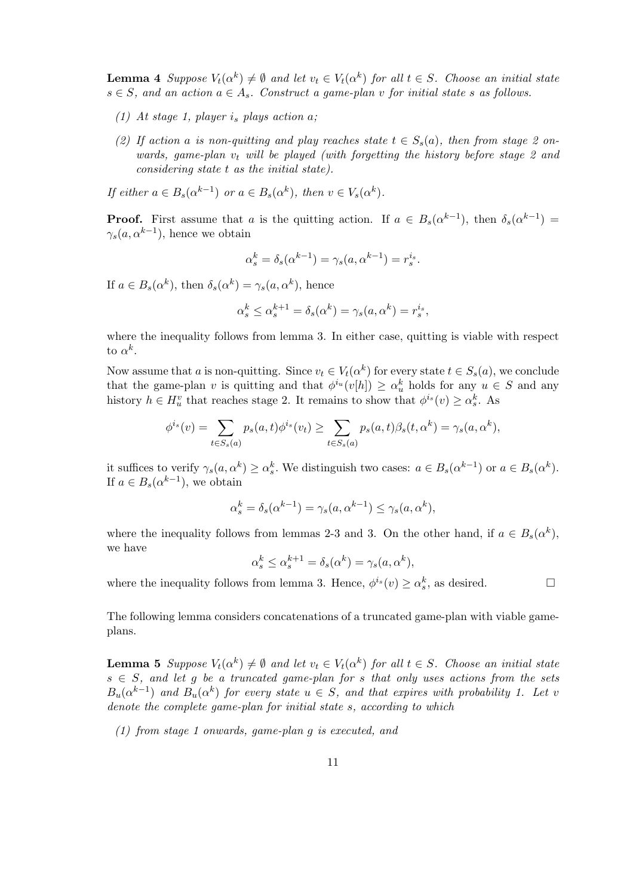**Lemma 4** Suppose  $V_t(\alpha^k) \neq \emptyset$  and let  $v_t \in V_t(\alpha^k)$  for all  $t \in S$ . Choose an initial state  $s \in S$ , and an action  $a \in A_s$ . Construct a game-plan v for initial state s as follows.

- (1) At stage 1, player  $i_s$  plays action a;
- (2) If action a is non-quitting and play reaches state  $t \in S_s(a)$ , then from stage 2 onwards, game-plan  $v_t$  will be played (with forgetting the history before stage 2 and considering state t as the initial state).

If either  $a \in B_s(\alpha^{k-1})$  or  $a \in B_s(\alpha^k)$ , then  $v \in V_s(\alpha^k)$ .

**Proof.** First assume that a is the quitting action. If  $a \in B_s(\alpha^{k-1})$ , then  $\delta_s(\alpha^{k-1})$  $\gamma_s(a, \alpha^{k-1})$ , hence we obtain

$$
\alpha_s^k = \delta_s(\alpha^{k-1}) = \gamma_s(a, \alpha^{k-1}) = r_s^{i_s}.
$$

If  $a \in B_s(\alpha^k)$ , then  $\delta_s(\alpha^k) = \gamma_s(a, \alpha^k)$ , hence

$$
\alpha_s^k \le \alpha_s^{k+1} = \delta_s(\alpha^k) = \gamma_s(a, \alpha^k) = r_s^{i_s},
$$

where the inequality follows from lemma 3. In either case, quitting is viable with respect to  $\alpha^k$ .

Now assume that a is non-quitting. Since  $v_t \in V_t(\alpha^k)$  for every state  $t \in S_s(a)$ , we conclude that the game-plan v is quitting and that  $\phi^{i_u}(v[h]) \geq \alpha_u^k$  holds for any  $u \in S$  and any history  $h \in H_u^v$  that reaches stage 2. It remains to show that  $\phi^{i_s}(v) \ge \alpha_s^k$ . As

$$
\phi^{i_s}(v) = \sum_{t \in S_s(a)} p_s(a, t)\phi^{i_s}(v_t) \ge \sum_{t \in S_s(a)} p_s(a, t)\beta_s(t, \alpha^k) = \gamma_s(a, \alpha^k),
$$

it suffices to verify  $\gamma_s(a, \alpha^k) \ge \alpha_s^k$ . We distinguish two cases:  $a \in B_s(\alpha^{k-1})$  or  $a \in B_s(\alpha^k)$ . If  $a \in B_s(\alpha^{k-1})$ , we obtain

$$
\alpha_s^k = \delta_s(\alpha^{k-1}) = \gamma_s(a, \alpha^{k-1}) \le \gamma_s(a, \alpha^k),
$$

where the inequality follows from lemmas 2-3 and 3. On the other hand, if  $a \in B_s(\alpha^k)$ , we have

$$
\alpha_s^k \le \alpha_s^{k+1} = \delta_s(\alpha^k) = \gamma_s(a, \alpha^k),
$$

where the inequality follows from lemma 3. Hence,  $\phi^{i_s}(v) \ge \alpha_s^k$ , as desired.

The following lemma considers concatenations of a truncated game-plan with viable gameplans.

**Lemma 5** Suppose  $V_t(\alpha^k) \neq \emptyset$  and let  $v_t \in V_t(\alpha^k)$  for all  $t \in S$ . Choose an initial state  $s \in S$ , and let g be a truncated game-plan for s that only uses actions from the sets  $B_u(\alpha^{k-1})$  and  $B_u(\alpha^k)$  for every state  $u \in S$ , and that expires with probability 1. Let v denote the complete game-plan for initial state s, according to which

(1) from stage 1 onwards, game-plan g is executed, and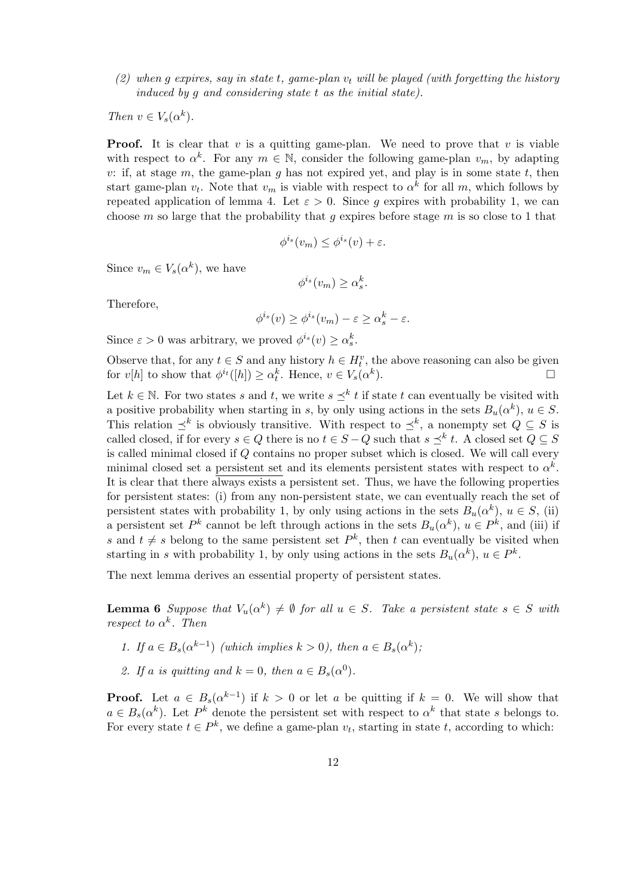(2) when g expires, say in state t, game-plan  $v_t$  will be played (with forgetting the history induced by q and considering state  $t$  as the initial state).

Then  $v \in V_s(\alpha^k)$ .

**Proof.** It is clear that  $v$  is a quitting game-plan. We need to prove that  $v$  is viable with respect to  $\alpha^k$ . For any  $m \in \mathbb{N}$ , consider the following game-plan  $v_m$ , by adapting v: if, at stage m, the game-plan g has not expired yet, and play is in some state t, then start game-plan  $v_t$ . Note that  $v_m$  is viable with respect to  $\alpha^k$  for all m, which follows by repeated application of lemma 4. Let  $\varepsilon > 0$ . Since g expires with probability 1, we can choose m so large that the probability that g expires before stage m is so close to 1 that

$$
\phi^{i_s}(v_m) \le \phi^{i_s}(v) + \varepsilon.
$$

Since  $v_m \in V_s(\alpha^k)$ , we have

$$
\phi^{i_s}(v_m) \ge \alpha_s^k.
$$

Therefore,

$$
\phi^{i_s}(v) \ge \phi^{i_s}(v_m) - \varepsilon \ge \alpha_s^k - \varepsilon.
$$

Since  $\varepsilon > 0$  was arbitrary, we proved  $\phi^{i_s}(v) \ge \alpha_s^k$ .

Observe that, for any  $t \in S$  and any history  $h \in H_t^v$ , the above reasoning can also be given for  $v[h]$  to show that  $\phi^{i_t}([h]) \geq \alpha_t^k$ . Hence,  $v \in V_s(\alpha^k)$ ).  $\qquad \qquad \Box$ 

Let  $k \in \mathbb{N}$ . For two states s and t, we write  $s \preceq^k t$  if state t can eventually be visited with a positive probability when starting in s, by only using actions in the sets  $B_u(\alpha^k)$ ,  $u \in S$ . This relation  $\preceq^k$  is obviously transitive. With respect to  $\preceq^k$ , a nonempty set  $Q \subseteq S$  is called closed, if for every  $s \in Q$  there is no  $t \in S - Q$  such that  $s \preceq^k t$ . A closed set  $Q \subseteq S$ is called minimal closed if Q contains no proper subset which is closed. We will call every minimal closed set a persistent set and its elements persistent states with respect to  $\alpha^k$ . It is clear that there always exists a persistent set. Thus, we have the following properties for persistent states: (i) from any non-persistent state, we can eventually reach the set of persistent states with probability 1, by only using actions in the sets  $B_u(\alpha^k)$ ,  $u \in S$ , (ii) a persistent set  $P^k$  cannot be left through actions in the sets  $B_u(\alpha^k)$ ,  $u \in P^k$ , and (iii) if s and  $t \neq s$  belong to the same persistent set  $P^k$ , then t can eventually be visited when starting in s with probability 1, by only using actions in the sets  $B_u(\alpha^k)$ ,  $u \in P^k$ .

The next lemma derives an essential property of persistent states.

**Lemma 6** Suppose that  $V_u(\alpha^k) \neq \emptyset$  for all  $u \in S$ . Take a persistent state  $s \in S$  with *respect to*  $\alpha^k$ . *Then* 

- 1. If  $a \in B_s(\alpha^{k-1})$  (which implies  $k > 0$ ), then  $a \in B_s(\alpha^k)$ ;
- 2. If a is quitting and  $k = 0$ , then  $a \in B_s(\alpha^0)$ .

**Proof.** Let  $a \in B_s(\alpha^{k-1})$  if  $k > 0$  or let a be quitting if  $k = 0$ . We will show that  $a \in B_s(\alpha^k)$ . Let  $P^k$  denote the persistent set with respect to  $\alpha^k$  that state s belongs to. For every state  $t \in P^k$ , we define a game-plan  $v_t$ , starting in state t, according to which: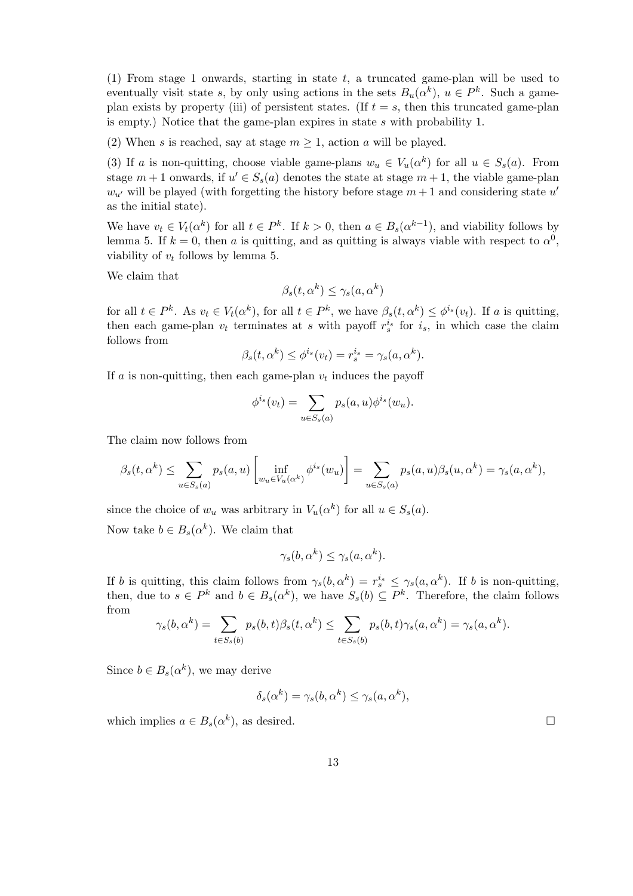(1) From stage 1 onwards, starting in state t, a truncated game-plan will be used to eventually visit state s, by only using actions in the sets  $B_u(\alpha^k)$ ,  $u \in P^k$ . Such a gameplan exists by property (iii) of persistent states. (If  $t = s$ , then this truncated game-plan is empty.) Notice that the game-plan expires in state s with probability 1.

(2) When s is reached, say at stage  $m \geq 1$ , action a will be played.

(3) If a is non-quitting, choose viable game-plans  $w_u \in V_u(\alpha^k)$  for all  $u \in S_s(a)$ . From stage  $m+1$  onwards, if  $u' \in S_s(a)$  denotes the state at stage  $m+1$ , the viable game-plan  $w_{u'}$  will be played (with forgetting the history before stage  $m + 1$  and considering state  $u'$ as the initial state).

We have  $v_t \in V_t(\alpha^k)$  for all  $t \in P^k$ . If  $k > 0$ , then  $a \in B_s(\alpha^{k-1})$ , and viability follows by lemma 5. If  $k = 0$ , then a is quitting, and as quitting is always viable with respect to  $\alpha^0$ , viability of  $v_t$  follows by lemma 5.

We claim that

$$
\beta_s(t, \alpha^k) \le \gamma_s(a, \alpha^k)
$$

for all  $t \in P^k$ . As  $v_t \in V_t(\alpha^k)$ , for all  $t \in P^k$ , we have  $\beta_s(t, \alpha^k) \leq \phi^{i_s}(v_t)$ . If a is quitting, then each game-plan  $v_t$  terminates at s with payoff  $r_s^{i_s}$  for  $i_s$ , in which case the claim follows from

$$
\beta_s(t, \alpha^k) \le \phi^{i_s}(v_t) = r_s^{i_s} = \gamma_s(a, \alpha^k).
$$

If  $a$  is non-quitting, then each game-plan  $v_t$  induces the payoff

$$
\phi^{i_s}(v_t) = \sum_{u \in S_s(a)} p_s(a, u)\phi^{i_s}(w_u).
$$

The claim now follows from

$$
\beta_s(t, \alpha^k) \le \sum_{u \in S_s(a)} p_s(a, u) \left[ \inf_{w_u \in V_u(\alpha^k)} \phi^{i_s}(w_u) \right] = \sum_{u \in S_s(a)} p_s(a, u) \beta_s(u, \alpha^k) = \gamma_s(a, \alpha^k),
$$

since the choice of  $w_u$  was arbitrary in  $V_u(\alpha^k)$  for all  $u \in S_s(a)$ .

Now take  $b \in B_s(\alpha^k)$ . We claim that

$$
\gamma_s(b, \alpha^k) \le \gamma_s(a, \alpha^k).
$$

If b is quitting, this claim follows from  $\gamma_s(b, \alpha^k) = r_s^{i_s} \leq \gamma_s(a, \alpha^k)$ . If b is non-quitting, then, due to  $s \in P^k$  and  $b \in B_s(\alpha^k)$ , we have  $S_s(b) \subseteq P^k$ . Therefore, the claim follows from

$$
\gamma_s(b,\alpha^k) = \sum_{t \in S_s(b)} p_s(b,t)\beta_s(t,\alpha^k) \le \sum_{t \in S_s(b)} p_s(b,t)\gamma_s(a,\alpha^k) = \gamma_s(a,\alpha^k).
$$

Since  $b \in B_s(\alpha^k)$ , we may derive

$$
\delta_s(\alpha^k) = \gamma_s(b, \alpha^k) \le \gamma_s(a, \alpha^k),
$$

which implies  $a \in B_s(\alpha^k)$ , as desired.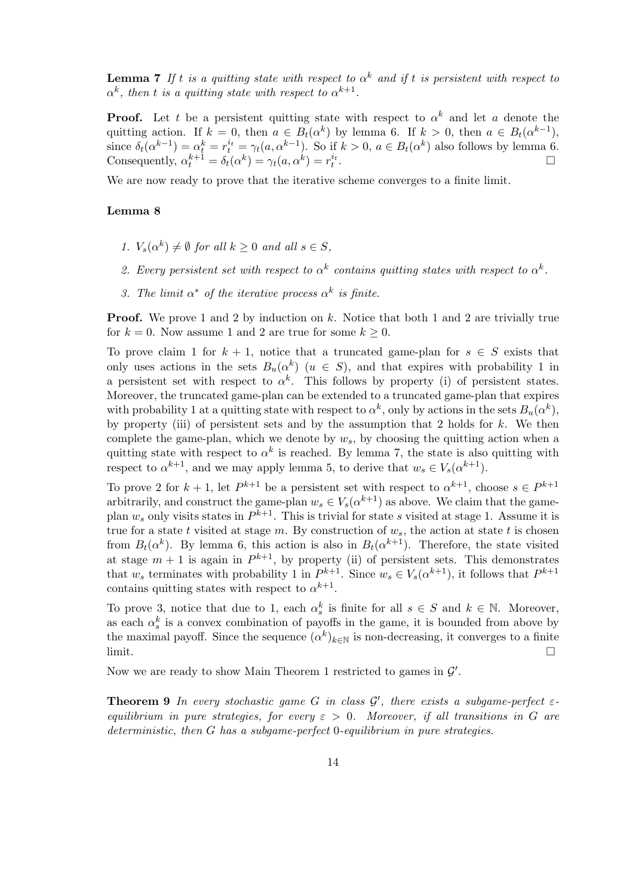**Lemma 7** If t is a quitting state with respect to  $\alpha^k$  and if t is persistent with respect to  $\alpha^k$ , then t is a quitting state with respect to  $\alpha^{k+1}$ .

**Proof.** Let t be a persistent quitting state with respect to  $\alpha^k$  and let a denote the quitting action. If  $k = 0$ , then  $a \in B_t(\alpha^k)$  by lemma 6. If  $k > 0$ , then  $a \in B_t(\alpha^{k-1})$ , since  $\delta_t(\alpha^{k-1}) = \alpha_t^k = r_t^{i_t} = \gamma_t(a, \alpha^{k-1})$ . So if  $k > 0$ ,  $a \in B_t(\alpha^k)$  also follows by lemma 6. Consequently,  $\alpha_t^{k+1} = \delta_t(\alpha^k) = \gamma_t(a, \alpha^k) = r_t^{i_t}.$ 

We are now ready to prove that the iterative scheme converges to a finite limit.

#### Lemma 8

- 1.  $V_s(\alpha^k) \neq \emptyset$  for all  $k \geq 0$  and all  $s \in S$ ,
- 2. Every persistent set with respect to  $\alpha^{k}$  contains quitting states with respect to  $\alpha^{k}$ .
- 3. The limit  $\alpha^*$  of the iterative process  $\alpha^k$  is finite.

**Proof.** We prove 1 and 2 by induction on k. Notice that both 1 and 2 are trivially true for  $k = 0$ . Now assume 1 and 2 are true for some  $k \geq 0$ .

To prove claim 1 for  $k + 1$ , notice that a truncated game-plan for  $s \in S$  exists that only uses actions in the sets  $B_u(\alpha^k)$   $(u \in S)$ , and that expires with probability 1 in a persistent set with respect to  $\alpha^k$ . This follows by property (i) of persistent states. Moreover, the truncated game-plan can be extended to a truncated game-plan that expires with probability 1 at a quitting state with respect to  $\alpha^k$ , only by actions in the sets  $B_u(\alpha^k)$ , by property (iii) of persistent sets and by the assumption that 2 holds for  $k$ . We then complete the game-plan, which we denote by  $w_s$ , by choosing the quitting action when a quitting state with respect to  $\alpha^k$  is reached. By lemma 7, the state is also quitting with respect to  $\alpha^{k+1}$ , and we may apply lemma 5, to derive that  $w_s \in V_s(\alpha^{k+1})$ .

To prove 2 for  $k+1$ , let  $P^{k+1}$  be a persistent set with respect to  $\alpha^{k+1}$ , choose  $s \in P^{k+1}$ arbitrarily, and construct the game-plan  $w_s \in V_s(\alpha^{k+1})$  as above. We claim that the gameplan  $w_s$  only visits states in  $P^{k+1}$ . This is trivial for state s visited at stage 1. Assume it is true for a state t visited at stage m. By construction of  $w_s$ , the action at state t is chosen from  $B_t(\alpha^k)$ . By lemma 6, this action is also in  $B_t(\alpha^{k+1})$ . Therefore, the state visited at stage  $m+1$  is again in  $P^{k+1}$ , by property (ii) of persistent sets. This demonstrates that  $w_s$  terminates with probability 1 in  $P^{k+1}$ . Since  $w_s \in V_s(\alpha^{k+1})$ , it follows that  $P^{k+1}$ contains quitting states with respect to  $\alpha^{k+1}$ .

To prove 3, notice that due to 1, each  $\alpha_s^k$  is finite for all  $s \in S$  and  $k \in \mathbb{N}$ . Moreover, as each  $\alpha_s^k$  is a convex combination of payoffs in the game, it is bounded from above by the maximal payoff. Since the sequence  $(\alpha^k)_{k\in\mathbb{N}}$  is non-decreasing, it converges to a finite  $\Box$ 

Now we are ready to show Main Theorem 1 restricted to games in  $\mathcal{G}'$ .

**Theorem 9** In every stochastic game G in class  $\mathcal{G}'$ , there exists a subgame-perfect  $\varepsilon$ equilibrium in pure strategies, for every  $\varepsilon > 0$ . Moreover, if all transitions in G are deterministic, then G has a subgame-perfect 0-equilibrium in pure strategies.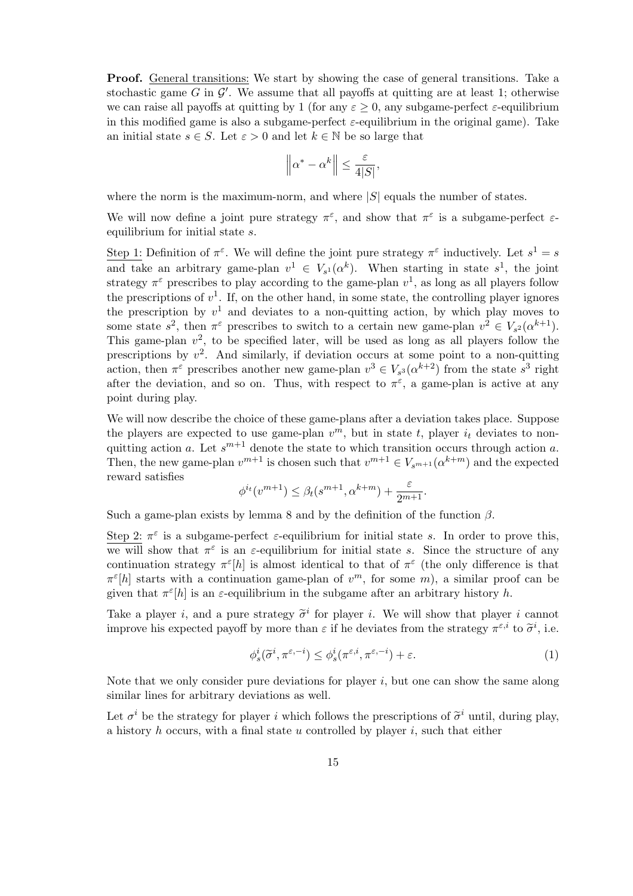Proof. General transitions: We start by showing the case of general transitions. Take a stochastic game  $G$  in  $\mathcal{G}'$ . We assume that all payoffs at quitting are at least 1; otherwise we can raise all payoffs at quitting by 1 (for any  $\varepsilon \geq 0$ , any subgame-perfect  $\varepsilon$ -equilibrium in this modified game is also a subgame-perfect  $\varepsilon$ -equilibrium in the original game). Take an initial state  $s \in S$ . Let  $\varepsilon > 0$  and let  $k \in \mathbb{N}$  be so large that

$$
\left\|\alpha^* - \alpha^k\right\| \le \frac{\varepsilon}{4|S|},
$$

where the norm is the maximum-norm, and where  $|S|$  equals the number of states.

We will now define a joint pure strategy  $\pi^{\epsilon}$ , and show that  $\pi^{\epsilon}$  is a subgame-perfect  $\varepsilon$ equilibrium for initial state s.

Step 1: Definition of  $\pi^{\varepsilon}$ . We will define the joint pure strategy  $\pi^{\varepsilon}$  inductively. Let  $s^1 = s$ and take an arbitrary game-plan  $v^1 \in V_{s^1}(\alpha^k)$ . When starting in state  $s^1$ , the joint strategy  $\pi^{\varepsilon}$  prescribes to play according to the game-plan  $v^1$ , as long as all players follow the prescriptions of  $v^1$ . If, on the other hand, in some state, the controlling player ignores the prescription by  $v^1$  and deviates to a non-quitting action, by which play moves to some state  $s^2$ , then  $\pi^{\varepsilon}$  prescribes to switch to a certain new game-plan  $v^2 \in V_{s^2}(\alpha^{k+1})$ . This game-plan  $v^2$ , to be specified later, will be used as long as all players follow the prescriptions by  $v^2$ . And similarly, if deviation occurs at some point to a non-quitting action, then  $\pi^{\varepsilon}$  prescribes another new game-plan  $v^3 \in V_{s^3}(\alpha^{k+2})$  from the state  $s^3$  right after the deviation, and so on. Thus, with respect to  $\pi^{\varepsilon}$ , a game-plan is active at any point during play.

We will now describe the choice of these game-plans after a deviation takes place. Suppose the players are expected to use game-plan  $v^m$ , but in state t, player  $i_t$  deviates to nonquitting action a. Let  $s^{m+1}$  denote the state to which transition occurs through action a. Then, the new game-plan  $v^{m+1}$  is chosen such that  $v^{m+1} \in V_{s^{m+1}}(\alpha^{k+m})$  and the expected reward satisfies

$$
\phi^{i_t}(v^{m+1}) \le \beta_t(s^{m+1}, \alpha^{k+m}) + \frac{\varepsilon}{2^{m+1}}.
$$

Such a game-plan exists by lemma 8 and by the definition of the function  $\beta$ .

Step 2:  $\pi^{\varepsilon}$  is a subgame-perfect  $\varepsilon$ -equilibrium for initial state s. In order to prove this, we will show that  $\pi^{\varepsilon}$  is an  $\varepsilon$ -equilibrium for initial state s. Since the structure of any continuation strategy  $\pi^{\varepsilon}[h]$  is almost identical to that of  $\pi^{\varepsilon}$  (the only difference is that  $\pi^{\varepsilon}[h]$  starts with a continuation game-plan of  $v^m$ , for some m, a similar proof can be given that  $\pi^{\epsilon}[h]$  is an  $\varepsilon$ -equilibrium in the subgame after an arbitrary history h.

Take a player *i*, and a pure strategy  $\tilde{\sigma}^i$  for player *i*. We will show that player *i* cannot improve his expected payoff by more than  $\varepsilon$  if he deviates from the strategy  $\pi^{\varepsilon,i}$  to  $\tilde{\sigma}^i$ , i.e.

$$
\phi_s^i(\tilde{\sigma}^i, \pi^{\varepsilon, -i}) \le \phi_s^i(\pi^{\varepsilon, i}, \pi^{\varepsilon, -i}) + \varepsilon. \tag{1}
$$

Note that we only consider pure deviations for player  $i$ , but one can show the same along similar lines for arbitrary deviations as well.

Let  $\sigma^i$  be the strategy for player i which follows the prescriptions of  $\tilde{\sigma}^i$  until, during play, a history  $h$  occurs, with a final state  $u$  controlled by player  $i$ , such that either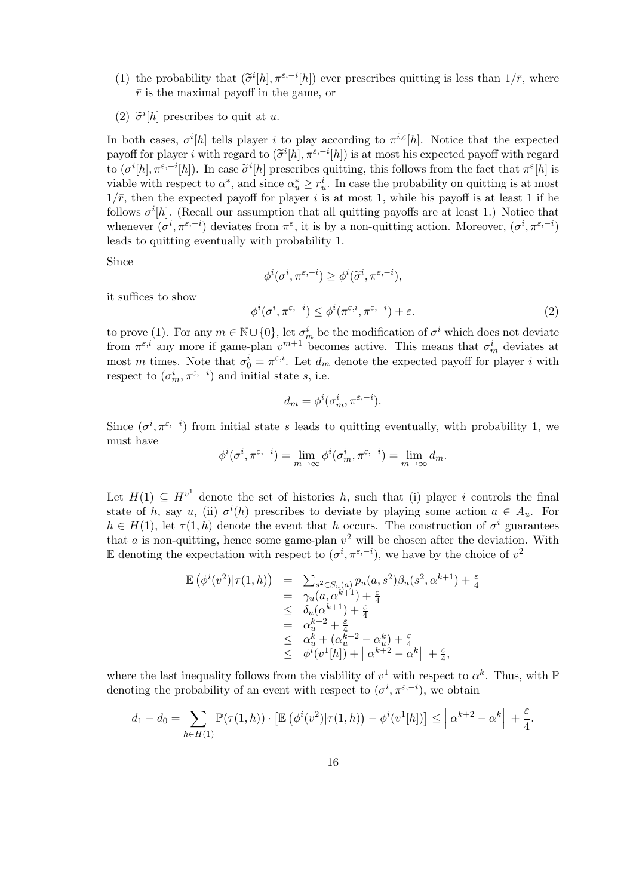- (1) the probability that  $(\tilde{\sigma}^i[h], \pi^{\varepsilon,-i}[h])$  ever prescribes quitting is less than  $1/\bar{r}$ , where  $\bar{r}$  is the maximal payoff in the game, or
- (2)  $\tilde{\sigma}^i[h]$  prescribes to quit at u.

In both cases,  $\sigma^{i}[h]$  tells player i to play according to  $\pi^{i,\varepsilon}[h]$ . Notice that the expected payoff for player *i* with regard to  $(\tilde{\sigma}^i[h], \pi^{\varepsilon, -i}[h])$  is at most his expected payoff with regard to  $(\sigma^{i}[h], \pi^{\varepsilon, -i}[h])$ . In case  $\tilde{\sigma}^{i}[h]$  prescribes quitting, this follows from the fact that  $\pi^{\varepsilon}[h]$  is viable with respect to  $\alpha^*$ , and since  $\alpha^*_{u} \geq r_u^i$ . In case the probability on quitting is at most  $1/\bar{r}$ , then the expected payoff for player i is at most 1, while his payoff is at least 1 if he follows  $\sigma^{i}[h]$ . (Recall our assumption that all quitting payoffs are at least 1.) Notice that whenever  $(\sigma^i, \pi^{\varepsilon,-i})$  deviates from  $\pi^{\varepsilon}$ , it is by a non-quitting action. Moreover,  $(\sigma^i, \pi^{\varepsilon,-i})$ leads to quitting eventually with probability 1.

Since

$$
\phi^{i}(\sigma^{i}, \pi^{\varepsilon, -i}) \geq \phi^{i}(\widetilde{\sigma}^{i}, \pi^{\varepsilon, -i}),
$$
  

$$
\phi^{i}(\sigma^{i}, \pi^{\varepsilon, -i}) \leq \phi^{i}(\pi^{\varepsilon, i}, \pi^{\varepsilon, -i}) + \varepsilon.
$$
 (2)

it suffices to show

to prove (1). For any  $m \in \mathbb{N} \cup \{0\}$ , let  $\sigma_m^i$  be the modification of  $\sigma^i$  which does not deviate from  $\pi^{\varepsilon,i}$  any more if game-plan  $v^{m+1}$  becomes active. This means that  $\sigma_m^i$  deviates at most m times. Note that  $\sigma_0^i = \pi^{\varepsilon,i}$ . Let  $d_m$  denote the expected payoff for player i with respect to  $(\sigma_m^i, \pi^{\varepsilon, -i})$  and initial state s, i.e.

$$
d_m = \phi^i(\sigma_m^i, \pi^{\varepsilon, -i}).
$$

Since  $(\sigma^i, \pi^{\varepsilon, -i})$  from initial state s leads to quitting eventually, with probability 1, we must have

$$
\phi^i(\sigma^i, \pi^{\varepsilon, -i}) = \lim_{m \to \infty} \phi^i(\sigma^i_m, \pi^{\varepsilon, -i}) = \lim_{m \to \infty} d_m.
$$

Let  $H(1) \subseteq H^{v^1}$  denote the set of histories h, such that (i) player i controls the final state of h, say u, (ii)  $\sigma^{i}(h)$  prescribes to deviate by playing some action  $a \in A_u$ . For  $h \in H(1)$ , let  $\tau(1,h)$  denote the event that h occurs. The construction of  $\sigma^i$  guarantees that  $a$  is non-quitting, hence some game-plan  $v^2$  will be chosen after the deviation. With E denoting the expectation with respect to  $(\sigma^i, \pi^{\varepsilon, -i})$ , we have by the choice of  $v^2$ 

$$
\mathbb{E}(\phi^{i}(v^{2})|\tau(1,h)) = \sum_{s^{2} \in S_{u}(a)} p_{u}(a, s^{2})\beta_{u}(s^{2}, \alpha^{k+1}) + \frac{\varepsilon}{4} \n= \gamma_{u}(a, \alpha^{k+1}) + \frac{\varepsilon}{4} \n\leq \delta_{u}(\alpha^{k+1}) + \frac{\varepsilon}{4} \n= \alpha_{u}^{k+2} + \frac{\varepsilon}{4} \n\leq \alpha_{u}^{k} + (\alpha_{u}^{k+2} - \alpha_{u}^{k}) + \frac{\varepsilon}{4} \n\leq \phi^{i}(v^{1}[h]) + ||\alpha^{k+2} - \alpha^{k}|| + \frac{\varepsilon}{4},
$$

where the last inequality follows from the viability of  $v^1$  with respect to  $\alpha^k$ . Thus, with  $\mathbb P$ denoting the probability of an event with respect to  $(\sigma^i, \pi^{\varepsilon, -i})$ , we obtain

$$
d_1 - d_0 = \sum_{h \in H(1)} \mathbb{P}(\tau(1, h)) \cdot \left[ \mathbb{E} \left( \phi^i(v^2) | \tau(1, h) \right) - \phi^i(v^1[h]) \right] \le \left\| \alpha^{k+2} - \alpha^k \right\| + \frac{\varepsilon}{4}.
$$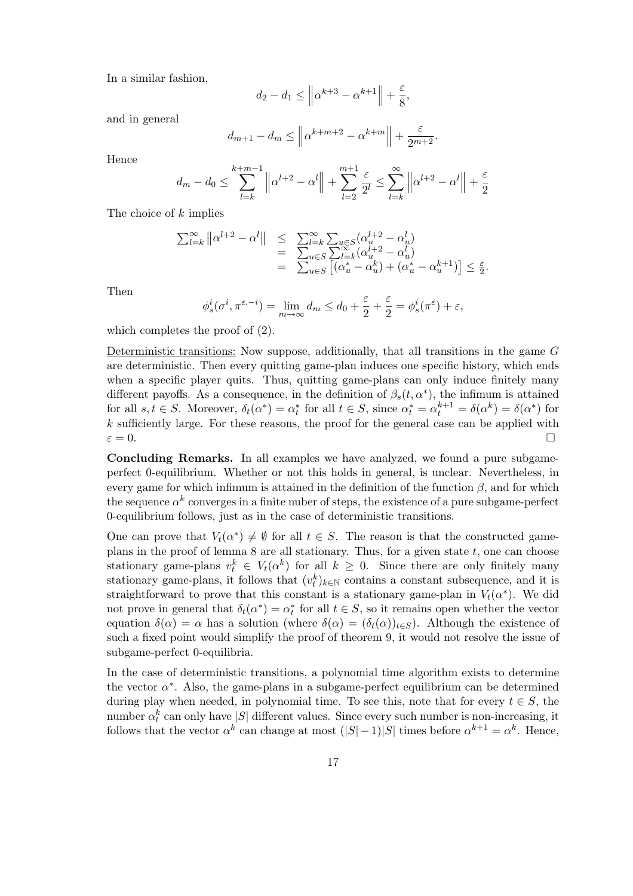In a similar fashion,

$$
d_2 - d_1 \le \left\| \alpha^{k+3} - \alpha^{k+1} \right\| + \frac{\varepsilon}{8},
$$

and in general

$$
d_{m+1} - d_m \le \left\| \alpha^{k+m+2} - \alpha^{k+m} \right\| + \frac{\varepsilon}{2^{m+2}}.
$$

Hence

$$
d_m - d_0 \le \sum_{l=k}^{k+m-1} \left\| \alpha^{l+2} - \alpha^l \right\| + \sum_{l=2}^{m+1} \frac{\varepsilon}{2^l} \le \sum_{l=k}^{\infty} \left\| \alpha^{l+2} - \alpha^l \right\| + \frac{\varepsilon}{2}
$$

The choice of k implies

$$
\sum_{l=k}^{\infty} ||\alpha^{l+2} - \alpha^l|| \leq \sum_{u \in S}^{\infty} \sum_{u \in S} (\alpha_u^{l+2} - \alpha_u^l)
$$
  
= 
$$
\sum_{u \in S}^{\infty} \sum_{l=k}^{\infty} (\alpha_u^{l+2} - \alpha_u^l)
$$
  
= 
$$
\sum_{u \in S} [(\alpha_u^* - \alpha_u^k) + (\alpha_u^* - \alpha_u^{k+1})] \leq \frac{\varepsilon}{2}.
$$

Then

$$
\phi_s^i(\sigma^i, \pi^{\varepsilon, -i}) = \lim_{m \to \infty} d_m \le d_0 + \frac{\varepsilon}{2} + \frac{\varepsilon}{2} = \phi_s^i(\pi^{\varepsilon}) + \varepsilon,
$$

which completes the proof of (2).

Deterministic transitions: Now suppose, additionally, that all transitions in the game G are deterministic. Then every quitting game-plan induces one specific history, which ends when a specific player quits. Thus, quitting game-plans can only induce finitely many different payoffs. As a consequence, in the definition of  $\beta_s(t, \alpha^*)$ , the infimum is attained for all  $s, t \in S$ . Moreover,  $\delta_t(\alpha^*) = \alpha_t^*$  for all  $t \in S$ , since  $\alpha_t^* = \alpha_t^{k+1} = \delta(\alpha^*) = \delta(\alpha^*)$  for  $k$  sufficiently large. For these reasons, the proof for the general case can be applied with  $\varepsilon = 0.$ 

Concluding Remarks. In all examples we have analyzed, we found a pure subgameperfect 0-equilibrium. Whether or not this holds in general, is unclear. Nevertheless, in every game for which infimum is attained in the definition of the function  $\beta$ , and for which the sequence  $\alpha^k$  converges in a finite nuber of steps, the existence of a pure subgame-perfect 0-equilibrium follows, just as in the case of deterministic transitions.

One can prove that  $V_t(\alpha^*) \neq \emptyset$  for all  $t \in S$ . The reason is that the constructed gameplans in the proof of lemma  $8$  are all stationary. Thus, for a given state  $t$ , one can choose stationary game-plans  $v_t^k \in V_t(\alpha^k)$  for all  $k \geq 0$ . Since there are only finitely many stationary game-plans, it follows that  $(v_t^k)_{k \in \mathbb{N}}$  contains a constant subsequence, and it is straightforward to prove that this constant is a stationary game-plan in  $V_t(\alpha^*)$ . We did not prove in general that  $\delta_t(\alpha^*) = \alpha_t^*$  for all  $t \in S$ , so it remains open whether the vector equation  $\delta(\alpha) = \alpha$  has a solution (where  $\delta(\alpha) = (\delta_t(\alpha))_{t \in S}$ ). Although the existence of such a fixed point would simplify the proof of theorem 9, it would not resolve the issue of subgame-perfect 0-equilibria.

In the case of deterministic transitions, a polynomial time algorithm exists to determine the vector  $\alpha^*$ . Also, the game-plans in a subgame-perfect equilibrium can be determined during play when needed, in polynomial time. To see this, note that for every  $t \in S$ , the number  $\alpha_t^k$  can only have  $|S|$  different values. Since every such number is non-increasing, it follows that the vector  $\alpha^k$  can change at most  $(|S|-1)|S|$  times before  $\alpha^{k+1} = \alpha^k$ . Hence,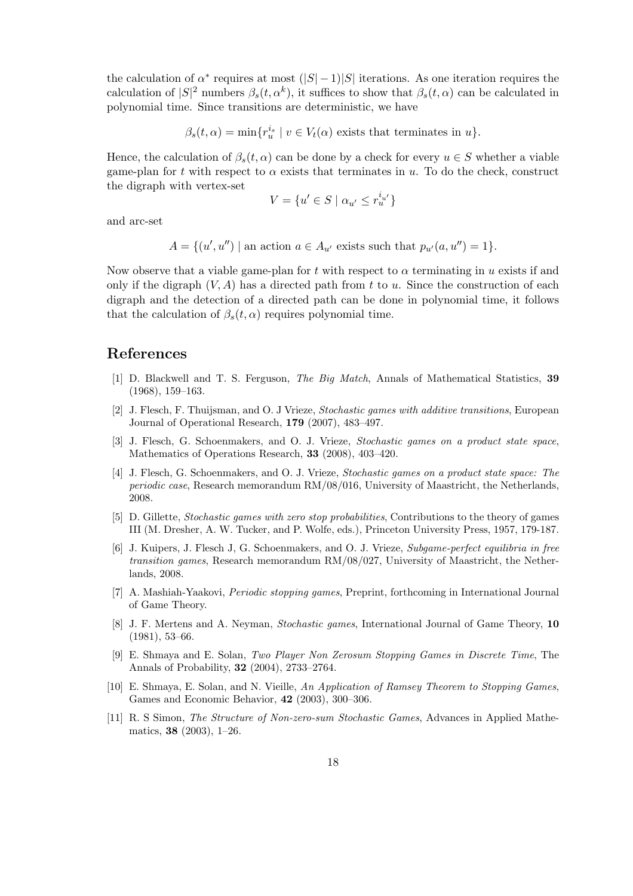the calculation of  $\alpha^*$  requires at most  $(|S|-1)|S|$  iterations. As one iteration requires the calculation of  $|S|^2$  numbers  $\beta_s(t, \alpha^k)$ , it suffices to show that  $\beta_s(t, \alpha)$  can be calculated in polynomial time. Since transitions are deterministic, we have

$$
\beta_s(t,\alpha) = \min\{r_u^{i_s} \mid v \in V_t(\alpha) \text{ exists that terminates in } u\}.
$$

Hence, the calculation of  $\beta_s(t, \alpha)$  can be done by a check for every  $u \in S$  whether a viable game-plan for t with respect to  $\alpha$  exists that terminates in u. To do the check, construct the digraph with vertex-set

$$
V = \{u' \in S \mid \alpha_{u'} \le r_u^{i_{u'}}\}
$$

and arc-set

 $A = \{(u', u'') \mid \text{an action } a \in A_{u'} \text{ exists such that } p_{u'}(a, u'') = 1\}.$ 

Now observe that a viable game-plan for t with respect to  $\alpha$  terminating in u exists if and only if the digraph  $(V, A)$  has a directed path from t to u. Since the construction of each digraph and the detection of a directed path can be done in polynomial time, it follows that the calculation of  $\beta_s(t,\alpha)$  requires polynomial time.

### References

- [1] D. Blackwell and T. S. Ferguson, The Big Match, Annals of Mathematical Statistics, 39 (1968), 159–163.
- [2] J. Flesch, F. Thuijsman, and O. J Vrieze, Stochastic games with additive transitions, European Journal of Operational Research, 179 (2007), 483–497.
- [3] J. Flesch, G. Schoenmakers, and O. J. Vrieze, Stochastic games on a product state space, Mathematics of Operations Research, 33 (2008), 403–420.
- [4] J. Flesch, G. Schoenmakers, and O. J. Vrieze, Stochastic games on a product state space: The periodic case, Research memorandum RM/08/016, University of Maastricht, the Netherlands, 2008.
- [5] D. Gillette, Stochastic games with zero stop probabilities, Contributions to the theory of games III (M. Dresher, A. W. Tucker, and P. Wolfe, eds.), Princeton University Press, 1957, 179-187.
- [6] J. Kuipers, J. Flesch J, G. Schoenmakers, and O. J. Vrieze, Subgame-perfect equilibria in free transition games, Research memorandum RM/08/027, University of Maastricht, the Netherlands, 2008.
- [7] A. Mashiah-Yaakovi, Periodic stopping games, Preprint, forthcoming in International Journal of Game Theory.
- [8] J. F. Mertens and A. Neyman, Stochastic games, International Journal of Game Theory, 10 (1981), 53–66.
- [9] E. Shmaya and E. Solan, Two Player Non Zerosum Stopping Games in Discrete Time, The Annals of Probability, 32 (2004), 2733–2764.
- [10] E. Shmaya, E. Solan, and N. Vieille, An Application of Ramsey Theorem to Stopping Games, Games and Economic Behavior, 42 (2003), 300–306.
- [11] R. S Simon, The Structure of Non-zero-sum Stochastic Games, Advances in Applied Mathematics, 38 (2003), 1–26.